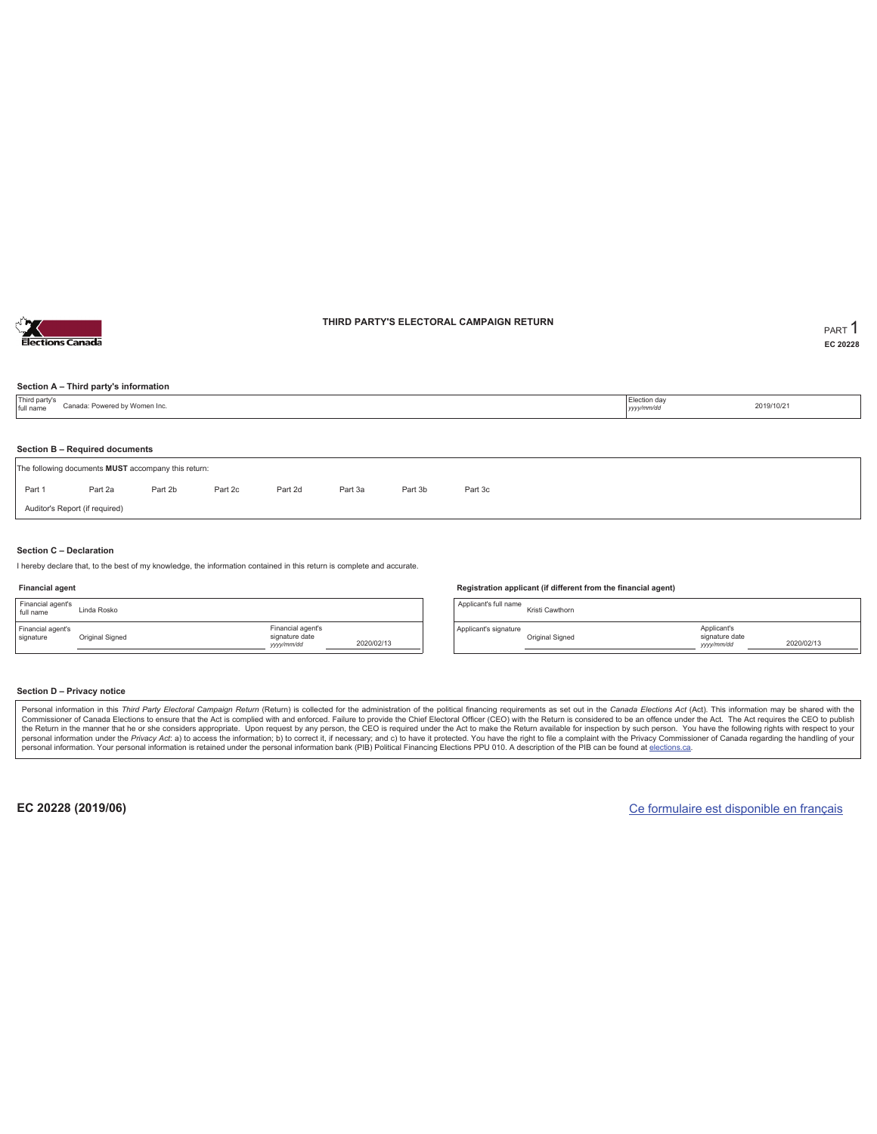

#### **THIRD PARTY'S ELECTORAL CAMPAIGN RETURN PART** 1

**EC 20228**

#### **Section A – Third party's information**

| Third party's<br>full name | Canada: Powered by Women Inc.                                             |  | Election day<br>yyyy/mm/dd | 2019/10/21 |  |  |  |  |  |  |  |  |  |  |
|----------------------------|---------------------------------------------------------------------------|--|----------------------------|------------|--|--|--|--|--|--|--|--|--|--|
|                            |                                                                           |  |                            |            |  |  |  |  |  |  |  |  |  |  |
|                            | Section B - Required documents                                            |  |                            |            |  |  |  |  |  |  |  |  |  |  |
|                            | The following documents MUST accompany this return:                       |  |                            |            |  |  |  |  |  |  |  |  |  |  |
| Part 1                     | Part 2d<br>Part 2b<br>Part 2c<br>Part 3b<br>Part 2a<br>Part 3a<br>Part 3c |  |                            |            |  |  |  |  |  |  |  |  |  |  |
|                            | Auditor's Report (if required)                                            |  |                            |            |  |  |  |  |  |  |  |  |  |  |

#### **Section C – Declaration**

I hereby declare that, to the best of my knowledge, the information contained in this return is complete and accurate.

#### **Financial agent**

| Financial agent's<br>full name | Linda Rosko     |                                                  |            |
|--------------------------------|-----------------|--------------------------------------------------|------------|
| Financial agent's<br>signature | Original Signed | Financial agent's<br>signature date<br>yyy/mm/dd | 2020/02/13 |

#### **Registration applicant (if different from the financial agent)**

Applicant's full name<br>Kristi Cawthorn Applicant's signature Original Signed Applicant's signature date *yyyy/mm/dd* 2020/02/13

#### **Section D – Privacy notice**

Personal information in this Third Party Electoral Campaign Return (Return) is collected for the administration of the political financing requirements as set out in the Canada Elections Act (Act). This information may be Commissioner of Canada Elections to ensure that the Act is complied with and enforced. Failure to provide the Chief Electoral Officer (CEO) with the Return is considered to be an offence under the Act. The Act requires the personal information. Your personal information is retained under the personal information bank (PIB) Political Financing Elections PPU 010. A description of the PIB can be found at elections.ca.

**EC 20228 (2019/06)** Ce formulaire est disponible en français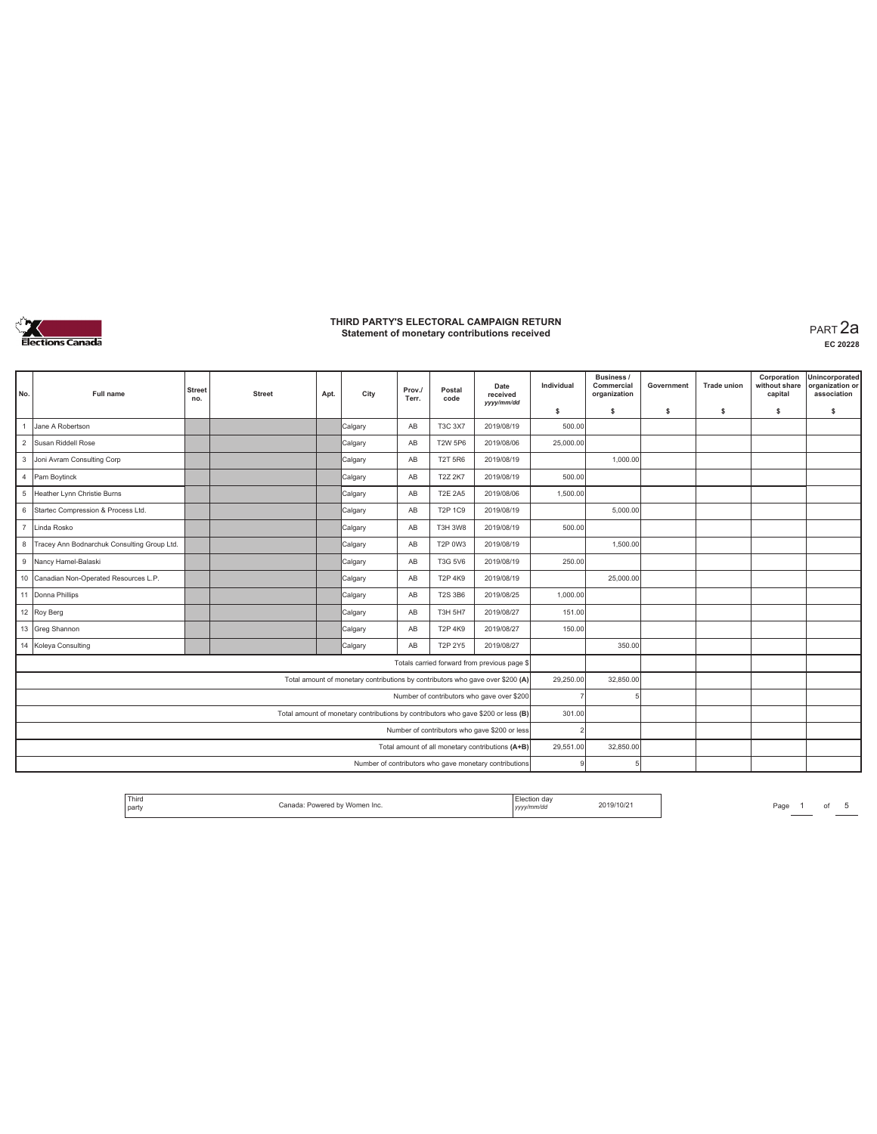

**EC 20228**

| No.                                                                               | <b>Full name</b>                              | <b>Street</b><br>no. | <b>Street</b> | Apt. | City    | Prov./<br>Terr. | Postal<br>code | Date<br>received<br>yyyy/mm/dd                                                 | Individual | Business /<br>Commercial<br>organization | Government | <b>Trade union</b> | Corporation<br>without share<br>capital | Unincorporated<br>organization or<br>association |
|-----------------------------------------------------------------------------------|-----------------------------------------------|----------------------|---------------|------|---------|-----------------|----------------|--------------------------------------------------------------------------------|------------|------------------------------------------|------------|--------------------|-----------------------------------------|--------------------------------------------------|
|                                                                                   |                                               |                      |               |      |         |                 |                |                                                                                | \$         | s.                                       | \$         | s.                 | \$                                      | s                                                |
|                                                                                   | Jane A Robertson                              |                      |               |      | Calgary | AB              | <b>T3C 3X7</b> | 2019/08/19                                                                     | 500.00     |                                          |            |                    |                                         |                                                  |
|                                                                                   | 2 Susan Riddell Rose                          |                      |               |      | Calgary | AB              | <b>T2W 5P6</b> | 2019/08/06                                                                     | 25,000.00  |                                          |            |                    |                                         |                                                  |
|                                                                                   | 3 Joni Avram Consulting Corp                  |                      |               |      | Calgary | AB              | <b>T2T 5R6</b> | 2019/08/19                                                                     |            | 1,000.00                                 |            |                    |                                         |                                                  |
|                                                                                   | 4 Pam Boytinck                                |                      |               |      | Calgary | AB              | <b>T2Z 2K7</b> | 2019/08/19                                                                     | 500.00     |                                          |            |                    |                                         |                                                  |
|                                                                                   | 5 Heather Lynn Christie Burns                 |                      |               |      | Calgary | AB              | <b>T2E 2A5</b> | 2019/08/06                                                                     | 1,500.00   |                                          |            |                    |                                         |                                                  |
|                                                                                   | 6 Startec Compression & Process Ltd.          |                      |               |      | Calgary | AB              | <b>T2P 1C9</b> | 2019/08/19                                                                     |            | 5,000.00                                 |            |                    |                                         |                                                  |
|                                                                                   | 7 Linda Rosko                                 |                      |               |      | Calgary | AB              | <b>T3H 3W8</b> | 2019/08/19                                                                     | 500.00     |                                          |            |                    |                                         |                                                  |
|                                                                                   | 8 Tracey Ann Bodnarchuk Consulting Group Ltd. |                      |               |      | Calgary | AB              | T2P 0W3        | 2019/08/19                                                                     |            | 1,500.00                                 |            |                    |                                         |                                                  |
|                                                                                   | 9 Nancy Hamel-Balaski                         |                      |               |      | Calgary | AB              | T3G 5V6        | 2019/08/19                                                                     | 250.00     |                                          |            |                    |                                         |                                                  |
|                                                                                   | 10 Canadian Non-Operated Resources L.P.       |                      |               |      | Calgary | AB              | <b>T2P 4K9</b> | 2019/08/19                                                                     |            | 25,000.00                                |            |                    |                                         |                                                  |
|                                                                                   | 11 Donna Phillips                             |                      |               |      | Calgary | AB              | <b>T2S 3B6</b> | 2019/08/25                                                                     | 1,000.00   |                                          |            |                    |                                         |                                                  |
|                                                                                   | 12 Roy Berg                                   |                      |               |      | Calgary | AB              | <b>T3H 5H7</b> | 2019/08/27                                                                     | 151.00     |                                          |            |                    |                                         |                                                  |
|                                                                                   | 13 Greg Shannon                               |                      |               |      | Calgary | AB              | <b>T2P 4K9</b> | 2019/08/27                                                                     | 150.00     |                                          |            |                    |                                         |                                                  |
|                                                                                   | 14 Koleya Consulting                          |                      |               |      | Calgary | AB              | <b>T2P 2Y5</b> | 2019/08/27                                                                     |            | 350.00                                   |            |                    |                                         |                                                  |
|                                                                                   |                                               |                      |               |      |         |                 |                | Totals carried forward from previous page \$                                   |            |                                          |            |                    |                                         |                                                  |
|                                                                                   |                                               |                      |               |      |         |                 |                | Total amount of monetary contributions by contributors who gave over \$200 (A) | 29,250.00  | 32,850.00                                |            |                    |                                         |                                                  |
| Number of contributors who gave over \$200                                        |                                               |                      |               |      |         |                 |                |                                                                                |            |                                          |            |                    |                                         |                                                  |
| Total amount of monetary contributions by contributors who gave \$200 or less (B) |                                               |                      |               |      |         |                 |                |                                                                                | 301.00     |                                          |            |                    |                                         |                                                  |
|                                                                                   |                                               |                      |               |      |         |                 |                | Number of contributors who gave \$200 or less                                  |            |                                          |            |                    |                                         |                                                  |
|                                                                                   |                                               |                      |               |      |         |                 |                | Total amount of all monetary contributions (A+B)                               | 29,551.00  | 32,850.00                                |            |                    |                                         |                                                  |
|                                                                                   |                                               |                      |               |      |         |                 |                | Number of contributors who gave monetary contributions                         | $\Omega$   |                                          |            |                    |                                         |                                                  |

| Third |                               | Election dav |           |
|-------|-------------------------------|--------------|-----------|
| party | Canada: Powered by Women Inc. | yyyy/mm/dd   | 2019/10/2 |
|       |                               |              |           |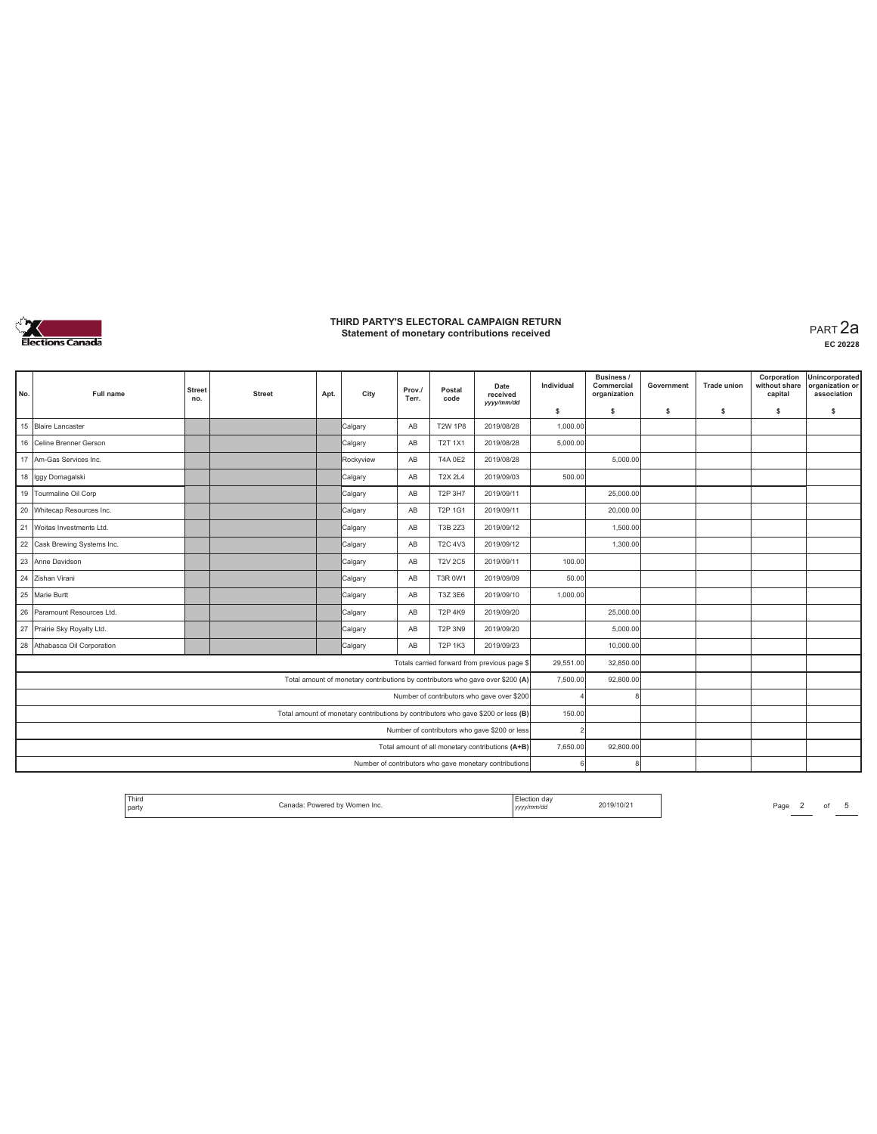

| No.                                                                               | <b>Full name</b>             | <b>Street</b><br>no. | <b>Street</b> | Apt. | City                                                                           | Prov./<br>Terr. | Postal<br>code | Date<br>received<br>yyyy/mm/dd                         | Individual | <b>Business /</b><br>Commercial<br>organization | Government | <b>Trade union</b> | Corporation<br>without share<br>capital | Unincorporated<br>organization or<br>association |
|-----------------------------------------------------------------------------------|------------------------------|----------------------|---------------|------|--------------------------------------------------------------------------------|-----------------|----------------|--------------------------------------------------------|------------|-------------------------------------------------|------------|--------------------|-----------------------------------------|--------------------------------------------------|
|                                                                                   |                              |                      |               |      |                                                                                |                 |                |                                                        | \$         | s.                                              | -S         | \$                 | \$                                      | s                                                |
|                                                                                   | 15 Blaire Lancaster          |                      |               |      | Calgary                                                                        | AB              | <b>T2W 1P8</b> | 2019/08/28                                             | 1,000.00   |                                                 |            |                    |                                         |                                                  |
|                                                                                   | 16 Celine Brenner Gerson     |                      |               |      | Calgary                                                                        | AB              | <b>T2T 1X1</b> | 2019/08/28                                             | 5,000.00   |                                                 |            |                    |                                         |                                                  |
|                                                                                   | 17 Am-Gas Services Inc.      |                      |               |      | Rockyview                                                                      | AB              | <b>T4A 0E2</b> | 2019/08/28                                             |            | 5,000.00                                        |            |                    |                                         |                                                  |
|                                                                                   | 18 lggy Domagalski           |                      |               |      | Calgary                                                                        | AB              | <b>T2X 2L4</b> | 2019/09/03                                             | 500.00     |                                                 |            |                    |                                         |                                                  |
|                                                                                   | 19 Tourmaline Oil Corp       |                      |               |      | Calgary                                                                        | AB              | <b>T2P 3H7</b> | 2019/09/11                                             |            | 25,000.00                                       |            |                    |                                         |                                                  |
|                                                                                   | 20 Whitecap Resources Inc.   |                      |               |      | Calgary                                                                        | AB              | T2P 1G1        | 2019/09/11                                             |            | 20,000.00                                       |            |                    |                                         |                                                  |
| 21                                                                                | Woitas Investments Ltd.      |                      |               |      | Calgary                                                                        | AB              | T3B 2Z3        | 2019/09/12                                             |            | 1,500.00                                        |            |                    |                                         |                                                  |
|                                                                                   | 22 Cask Brewing Systems Inc. |                      |               |      | Calgary                                                                        | AB              | <b>T2C 4V3</b> | 2019/09/12                                             |            | 1,300.00                                        |            |                    |                                         |                                                  |
|                                                                                   | 23 Anne Davidson             |                      |               |      | Calgary                                                                        | AB              | <b>T2V 2C5</b> | 2019/09/11                                             | 100.00     |                                                 |            |                    |                                         |                                                  |
|                                                                                   | 24 Zishan Virani             |                      |               |      | Calgary                                                                        | AB              | <b>T3R 0W1</b> | 2019/09/09                                             | 50.00      |                                                 |            |                    |                                         |                                                  |
|                                                                                   | 25 Marie Burtt               |                      |               |      | Calgary                                                                        | AB              | T3Z 3E6        | 2019/09/10                                             | 1,000.00   |                                                 |            |                    |                                         |                                                  |
|                                                                                   | 26 Paramount Resources Ltd.  |                      |               |      | Calgary                                                                        | AB              | <b>T2P 4K9</b> | 2019/09/20                                             |            | 25,000.00                                       |            |                    |                                         |                                                  |
|                                                                                   | 27 Prairie Sky Royalty Ltd.  |                      |               |      | Calgary                                                                        | AB              | <b>T2P 3N9</b> | 2019/09/20                                             |            | 5.000.00                                        |            |                    |                                         |                                                  |
| 28                                                                                | Athabasca Oil Corporation    |                      |               |      | Calgary                                                                        | AB              | <b>T2P 1K3</b> | 2019/09/23                                             |            | 10,000.00                                       |            |                    |                                         |                                                  |
|                                                                                   |                              |                      |               |      |                                                                                |                 |                | Totals carried forward from previous page \$           | 29,551.00  | 32,850.00                                       |            |                    |                                         |                                                  |
|                                                                                   |                              |                      |               |      | Total amount of monetary contributions by contributors who gave over \$200 (A) |                 |                |                                                        | 7,500.00   | 92,800.00                                       |            |                    |                                         |                                                  |
| Number of contributors who gave over \$200                                        |                              |                      |               |      |                                                                                |                 |                |                                                        |            |                                                 |            |                    |                                         |                                                  |
| Total amount of monetary contributions by contributors who gave \$200 or less (B) |                              |                      |               |      |                                                                                |                 |                |                                                        |            | 150.00                                          |            |                    |                                         |                                                  |
|                                                                                   |                              |                      |               |      |                                                                                |                 |                | Number of contributors who gave \$200 or less          |            |                                                 |            |                    |                                         |                                                  |
|                                                                                   |                              |                      |               |      |                                                                                |                 |                | Total amount of all monetary contributions (A+B)       | 7,650.00   | 92,800.00                                       |            |                    |                                         |                                                  |
|                                                                                   |                              |                      |               |      |                                                                                |                 |                | Number of contributors who gave monetary contributions |            |                                                 |            |                    |                                         |                                                  |

| Third<br>party | Canada: Powered by Women Inc. | ™ection day<br>yyyy/mm/dd | 2019/10/21 | Page |  |  |
|----------------|-------------------------------|---------------------------|------------|------|--|--|
|                |                               |                           |            |      |  |  |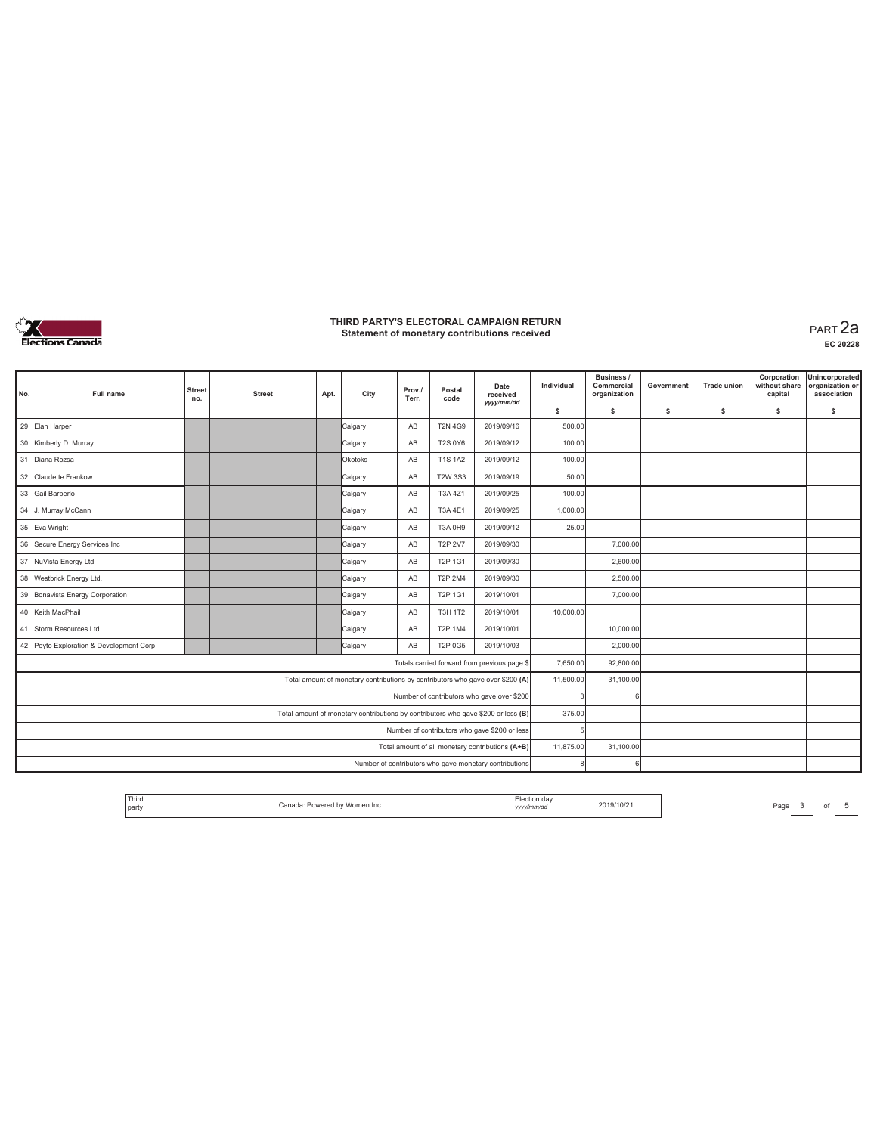

**EC 20228**

| No. | <b>Full name</b>                                 | <b>Street</b><br>no. | <b>Street</b> | Apt. | City                                                                              | Prov./<br>Terr. | Postal<br>code | Date<br>received<br>yyyy/mm/dd                         | Individual | <b>Business /</b><br>Commercial<br>organization | Government | <b>Trade union</b> | Corporation<br>without share<br>capital | Unincorporated<br>organization or<br>association |
|-----|--------------------------------------------------|----------------------|---------------|------|-----------------------------------------------------------------------------------|-----------------|----------------|--------------------------------------------------------|------------|-------------------------------------------------|------------|--------------------|-----------------------------------------|--------------------------------------------------|
|     |                                                  |                      |               |      |                                                                                   |                 |                |                                                        | \$         | s.                                              | s          | s.                 | \$                                      | s                                                |
|     | 29 Elan Harper                                   |                      |               |      | Calgary                                                                           | AB              | <b>T2N 4G9</b> | 2019/09/16                                             | 500.00     |                                                 |            |                    |                                         |                                                  |
|     | 30 Kimberly D. Murray                            |                      |               |      | Calgary                                                                           | AB              | <b>T2S 0Y6</b> | 2019/09/12                                             | 100.00     |                                                 |            |                    |                                         |                                                  |
|     | 31 Diana Rozsa                                   |                      |               |      | Okotoks                                                                           | AB              | <b>T1S 1A2</b> | 2019/09/12                                             | 100.00     |                                                 |            |                    |                                         |                                                  |
|     | 32 Claudette Frankow                             |                      |               |      | Calgary                                                                           | AB              | <b>T2W 3S3</b> | 2019/09/19                                             | 50.00      |                                                 |            |                    |                                         |                                                  |
|     | 33 Gail Barberlo                                 |                      |               |      | Calgary                                                                           | AB              | T3A 4Z1        | 2019/09/25                                             | 100.00     |                                                 |            |                    |                                         |                                                  |
|     | 34 J. Murray McCann                              |                      |               |      | Calgary                                                                           | AB              | T3A 4E1        | 2019/09/25                                             | 1,000.00   |                                                 |            |                    |                                         |                                                  |
|     | 35 Eva Wright                                    |                      |               |      | Calgary                                                                           | AB              | <b>T3A 0H9</b> | 2019/09/12                                             | 25.00      |                                                 |            |                    |                                         |                                                  |
|     | 36 Secure Energy Services Inc                    |                      |               |      | Calgary                                                                           | AB              | <b>T2P 2V7</b> | 2019/09/30                                             |            | 7,000.00                                        |            |                    |                                         |                                                  |
|     | 37 NuVista Energy Ltd                            |                      |               |      | Calgary                                                                           | AB              | <b>T2P 1G1</b> | 2019/09/30                                             |            | 2,600.00                                        |            |                    |                                         |                                                  |
|     | 38 Westbrick Energy Ltd.                         |                      |               |      | Calgary                                                                           | AB              | <b>T2P 2M4</b> | 2019/09/30                                             |            | 2,500.00                                        |            |                    |                                         |                                                  |
|     | 39 Bonavista Energy Corporation                  |                      |               |      | Calgary                                                                           | AB              | T2P 1G1        | 2019/10/01                                             |            | 7,000.00                                        |            |                    |                                         |                                                  |
|     | 40 Keith MacPhail                                |                      |               |      | Calgary                                                                           | AB              | <b>T3H 1T2</b> | 2019/10/01                                             | 10,000.00  |                                                 |            |                    |                                         |                                                  |
|     | 41 Storm Resources Ltd                           |                      |               |      | Calgary                                                                           | AB              | <b>T2P 1M4</b> | 2019/10/01                                             |            | 10,000.00                                       |            |                    |                                         |                                                  |
|     | 42 Peyto Exploration & Development Corp          |                      |               |      | Calgary                                                                           | AB              | T2P 0G5        | 2019/10/03                                             |            | 2,000.00                                        |            |                    |                                         |                                                  |
|     |                                                  |                      |               |      |                                                                                   |                 |                | Totals carried forward from previous page \$           | 7,650.00   | 92,800.00                                       |            |                    |                                         |                                                  |
|     |                                                  |                      |               |      | Total amount of monetary contributions by contributors who gave over \$200 (A)    |                 |                |                                                        | 11,500.00  | 31,100.00                                       |            |                    |                                         |                                                  |
|     |                                                  |                      |               |      |                                                                                   |                 |                | Number of contributors who gave over \$200             | 3          |                                                 |            |                    |                                         |                                                  |
|     |                                                  |                      |               |      | Total amount of monetary contributions by contributors who gave \$200 or less (B) |                 |                |                                                        | 375.00     |                                                 |            |                    |                                         |                                                  |
|     |                                                  |                      |               |      |                                                                                   |                 |                | Number of contributors who gave \$200 or less          |            |                                                 |            |                    |                                         |                                                  |
|     | Total amount of all monetary contributions (A+B) |                      |               |      |                                                                                   |                 |                |                                                        | 11,875.00  | 31,100.00                                       |            |                    |                                         |                                                  |
|     |                                                  |                      |               |      |                                                                                   |                 |                | Number of contributors who gave monetary contributions | 8          |                                                 |            |                    |                                         |                                                  |

Election day<br>yyyy/mm/dd *yyyy/mm/dd* 2019/10/21 Page <sup>3</sup> of <sup>5</sup> Third party Canada: Powered by Women Inc.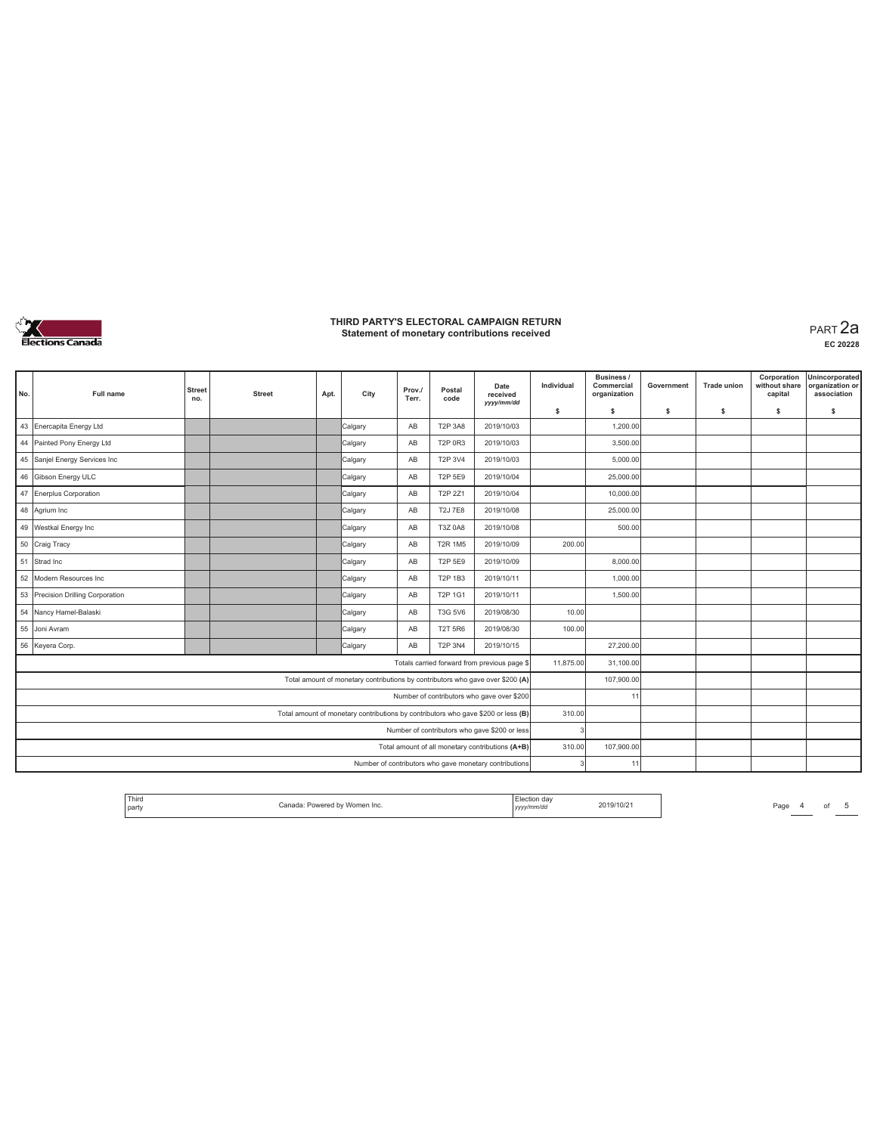

| No.                                                                               | Full name                         | <b>Street</b><br>no. | <b>Street</b> | Apt. | City    | Prov./<br>Terr. | Postal<br>code | Date<br>received<br>yyyy/mm/dd                                                 | Individual | <b>Business /</b><br>Commercial<br>organization | Government | <b>Trade union</b> | Corporation<br>without share<br>capital | Unincorporated<br>organization or<br>association |
|-----------------------------------------------------------------------------------|-----------------------------------|----------------------|---------------|------|---------|-----------------|----------------|--------------------------------------------------------------------------------|------------|-------------------------------------------------|------------|--------------------|-----------------------------------------|--------------------------------------------------|
|                                                                                   |                                   |                      |               |      |         |                 |                |                                                                                | \$         | s.                                              | -S         | \$                 | \$                                      | s                                                |
| 43                                                                                | Enercapita Energy Ltd             |                      |               |      | Calgary | AB              | <b>T2P 3A8</b> | 2019/10/03                                                                     |            | 1,200.00                                        |            |                    |                                         |                                                  |
|                                                                                   | 44 Painted Pony Energy Ltd        |                      |               |      | Calgary | AB              | <b>T2P 0R3</b> | 2019/10/03                                                                     |            | 3,500.00                                        |            |                    |                                         |                                                  |
|                                                                                   | 45 Sanjel Energy Services Inc     |                      |               |      | Calgary | AB              | T2P 3V4        | 2019/10/03                                                                     |            | 5,000.00                                        |            |                    |                                         |                                                  |
|                                                                                   | 46 Gibson Energy ULC              |                      |               |      | Calgary | AB              | <b>T2P 5E9</b> | 2019/10/04                                                                     |            | 25,000.00                                       |            |                    |                                         |                                                  |
|                                                                                   | 47 Enerplus Corporation           |                      |               |      | Calgary | AB              | T2P 2Z1        | 2019/10/04                                                                     |            | 10,000.00                                       |            |                    |                                         |                                                  |
|                                                                                   | 48 Agrium Inc                     |                      |               |      | Calgary | AB              | <b>T2J7E8</b>  | 2019/10/08                                                                     |            | 25,000.00                                       |            |                    |                                         |                                                  |
|                                                                                   | 49 Westkal Energy Inc             |                      |               |      | Calgary | $\mathsf{AB}$   | <b>T3Z 0A8</b> | 2019/10/08                                                                     |            | 500.00                                          |            |                    |                                         |                                                  |
|                                                                                   | 50 Craig Tracy                    |                      |               |      | Calgary | AB              | <b>T2R 1M5</b> | 2019/10/09                                                                     | 200.00     |                                                 |            |                    |                                         |                                                  |
|                                                                                   | 51 Strad Inc                      |                      |               |      | Calgary | AB              | <b>T2P 5E9</b> | 2019/10/09                                                                     |            | 8.000.00                                        |            |                    |                                         |                                                  |
|                                                                                   | 52 Modern Resources Inc           |                      |               |      | Calgary | AB              | <b>T2P 1B3</b> | 2019/10/11                                                                     |            | 1,000.00                                        |            |                    |                                         |                                                  |
|                                                                                   | 53 Precision Drilling Corporation |                      |               |      | Calgary | AB              | T2P 1G1        | 2019/10/11                                                                     |            | 1,500.00                                        |            |                    |                                         |                                                  |
|                                                                                   | 54 Nancy Hamel-Balaski            |                      |               |      | Calgary | AB              | <b>T3G 5V6</b> | 2019/08/30                                                                     | 10.00      |                                                 |            |                    |                                         |                                                  |
|                                                                                   | 55 Joni Avram                     |                      |               |      | Calgary | AB              | <b>T2T 5R6</b> | 2019/08/30                                                                     | 100.00     |                                                 |            |                    |                                         |                                                  |
| 56                                                                                | Keyera Corp.                      |                      |               |      | Calgary | AB              | <b>T2P 3N4</b> | 2019/10/15                                                                     |            | 27,200.00                                       |            |                    |                                         |                                                  |
|                                                                                   |                                   |                      |               |      |         |                 |                | Totals carried forward from previous page \$                                   | 11,875.00  | 31,100.00                                       |            |                    |                                         |                                                  |
|                                                                                   |                                   |                      |               |      |         |                 |                | Total amount of monetary contributions by contributors who gave over \$200 (A) |            | 107,900.00                                      |            |                    |                                         |                                                  |
| Number of contributors who gave over \$200                                        |                                   |                      |               |      |         |                 |                |                                                                                |            | 11                                              |            |                    |                                         |                                                  |
| Total amount of monetary contributions by contributors who gave \$200 or less (B) |                                   |                      |               |      |         |                 |                |                                                                                |            |                                                 |            |                    |                                         |                                                  |
|                                                                                   |                                   |                      |               |      |         |                 |                | Number of contributors who gave \$200 or less                                  |            |                                                 |            |                    |                                         |                                                  |
|                                                                                   |                                   |                      |               |      |         |                 |                | Total amount of all monetary contributions (A+B)                               | 310.00     | 107,900.00                                      |            |                    |                                         |                                                  |
|                                                                                   |                                   |                      |               |      |         |                 |                | Number of contributors who gave monetary contributions                         |            | 11                                              |            |                    |                                         |                                                  |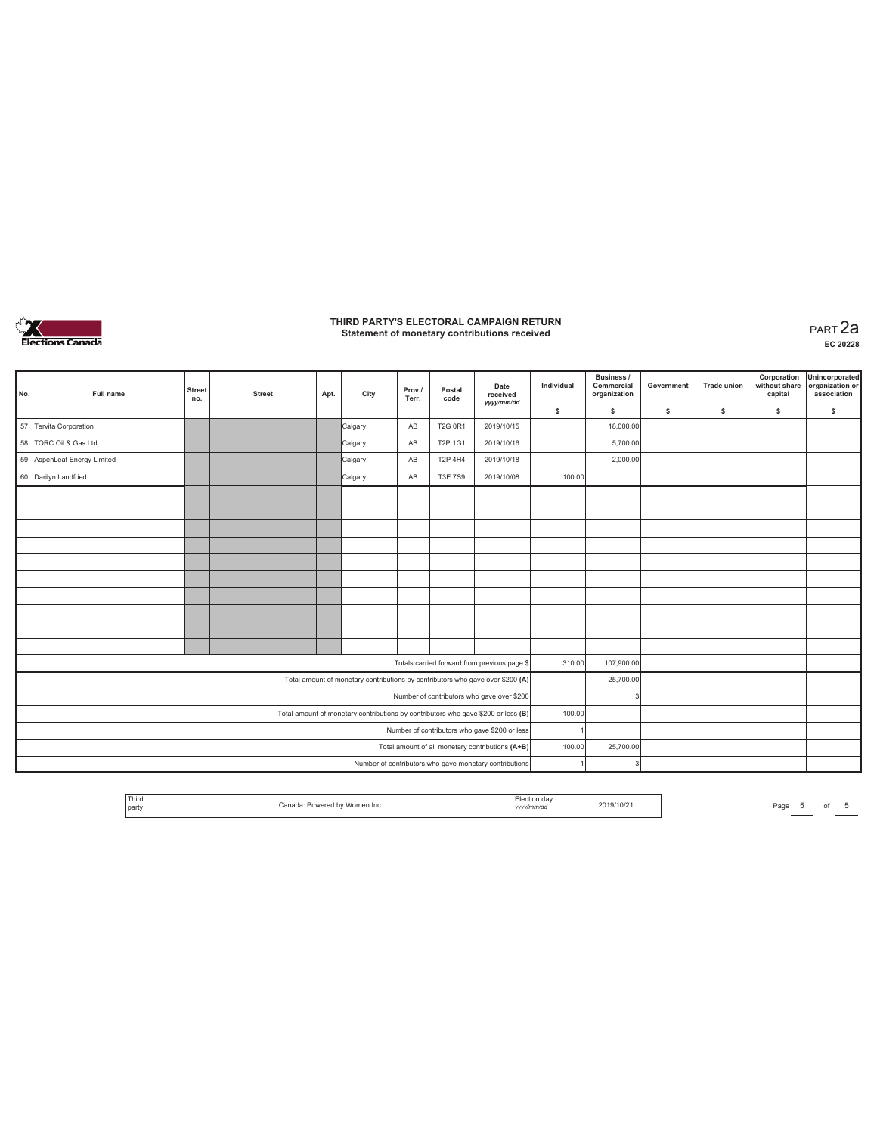

**EC 20228**

|                                                                                |                          |                      |               |      |                                                                                   |                 |                | Date                                                   | Individual | Business /<br>Commercial | Government | <b>Trade union</b> | Corporation<br>without share | Unincorporated<br>organization or |
|--------------------------------------------------------------------------------|--------------------------|----------------------|---------------|------|-----------------------------------------------------------------------------------|-----------------|----------------|--------------------------------------------------------|------------|--------------------------|------------|--------------------|------------------------------|-----------------------------------|
| No.                                                                            | Full name                | <b>Street</b><br>no. | <b>Street</b> | Apt. | City                                                                              | Prov./<br>Terr. | Postal<br>code | received<br>yyyy/mm/dd                                 |            | organization             |            |                    | capital                      | association                       |
|                                                                                |                          |                      |               |      |                                                                                   |                 |                |                                                        | \$         | s                        | \$         | s                  | \$                           | s                                 |
| 57                                                                             | Tervita Corporation      |                      |               |      | Calgary                                                                           | AB              | <b>T2G 0R1</b> | 2019/10/15                                             |            | 18,000.00                |            |                    |                              |                                   |
| 58                                                                             | TORC Oil & Gas Ltd.      |                      |               |      | Calgary                                                                           | AB              | T2P 1G1        | 2019/10/16                                             |            | 5,700.00                 |            |                    |                              |                                   |
| 59                                                                             | AspenLeaf Energy Limited |                      |               |      | Calgary                                                                           | AB              | <b>T2P 4H4</b> | 2019/10/18                                             |            | 2,000.00                 |            |                    |                              |                                   |
|                                                                                | 60 Darilyn Landfried     |                      |               |      | Calgary                                                                           | AB              | <b>T3E 7S9</b> | 2019/10/08                                             | 100.00     |                          |            |                    |                              |                                   |
|                                                                                |                          |                      |               |      |                                                                                   |                 |                |                                                        |            |                          |            |                    |                              |                                   |
|                                                                                |                          |                      |               |      |                                                                                   |                 |                |                                                        |            |                          |            |                    |                              |                                   |
|                                                                                |                          |                      |               |      |                                                                                   |                 |                |                                                        |            |                          |            |                    |                              |                                   |
|                                                                                |                          |                      |               |      |                                                                                   |                 |                |                                                        |            |                          |            |                    |                              |                                   |
|                                                                                |                          |                      |               |      |                                                                                   |                 |                |                                                        |            |                          |            |                    |                              |                                   |
|                                                                                |                          |                      |               |      |                                                                                   |                 |                |                                                        |            |                          |            |                    |                              |                                   |
|                                                                                |                          |                      |               |      |                                                                                   |                 |                |                                                        |            |                          |            |                    |                              |                                   |
|                                                                                |                          |                      |               |      |                                                                                   |                 |                |                                                        |            |                          |            |                    |                              |                                   |
|                                                                                |                          |                      |               |      |                                                                                   |                 |                |                                                        |            |                          |            |                    |                              |                                   |
|                                                                                |                          |                      |               |      |                                                                                   |                 |                |                                                        |            |                          |            |                    |                              |                                   |
|                                                                                |                          |                      |               |      |                                                                                   |                 |                | Totals carried forward from previous page \$           | 310.00     | 107,900.00               |            |                    |                              |                                   |
| Total amount of monetary contributions by contributors who gave over \$200 (A) |                          |                      |               |      |                                                                                   |                 |                |                                                        |            | 25,700.00                |            |                    |                              |                                   |
| Number of contributors who gave over \$200                                     |                          |                      |               |      |                                                                                   |                 |                |                                                        |            |                          |            |                    |                              |                                   |
|                                                                                |                          |                      |               |      | Total amount of monetary contributions by contributors who gave \$200 or less (B) |                 |                |                                                        | 100.00     |                          |            |                    |                              |                                   |
|                                                                                |                          |                      |               |      |                                                                                   |                 |                | Number of contributors who gave \$200 or less          |            |                          |            |                    |                              |                                   |
|                                                                                |                          |                      |               |      |                                                                                   |                 |                | Total amount of all monetary contributions (A+B)       | 100.00     | 25,700.00                |            |                    |                              |                                   |
|                                                                                |                          |                      |               |      |                                                                                   |                 |                | Number of contributors who gave monetary contributions |            |                          |            |                    |                              |                                   |

| Election day<br>2019/10/21<br>Canada: Powered by Women Inc.<br>yyyy/mm/dd<br>-- . - - . - |
|-------------------------------------------------------------------------------------------|
|-------------------------------------------------------------------------------------------|

*Page* 5 of 5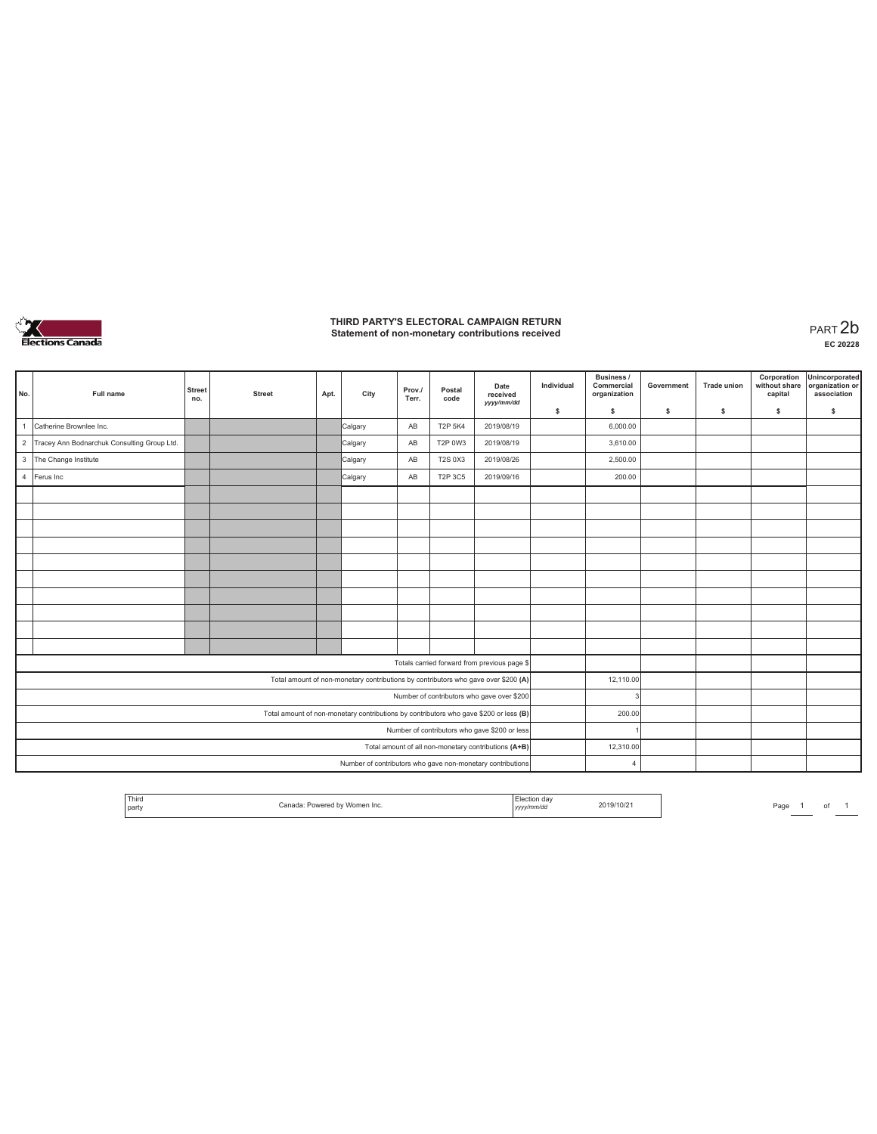

| No.                                                                                   | Full name                                     | <b>Street</b><br>no.                       | <b>Street</b> | Apt. | City    | Prov./<br>Terr. | Postal<br>code | Date<br>received<br>yyyy/mm/dd                                                     | Individual | <b>Business /</b><br>Commercial<br>organization | Government | Trade union | Corporation<br>without share<br>capital | Unincorporated<br>organization or<br>association |
|---------------------------------------------------------------------------------------|-----------------------------------------------|--------------------------------------------|---------------|------|---------|-----------------|----------------|------------------------------------------------------------------------------------|------------|-------------------------------------------------|------------|-------------|-----------------------------------------|--------------------------------------------------|
|                                                                                       |                                               |                                            |               |      |         |                 |                |                                                                                    | \$         | s                                               | \$         | \$          | \$                                      | \$                                               |
| $\overline{1}$                                                                        | Catherine Brownlee Inc.                       |                                            |               |      | Calgary | AB              | <b>T2P 5K4</b> | 2019/08/19                                                                         |            | 6,000.00                                        |            |             |                                         |                                                  |
|                                                                                       | 2 Tracey Ann Bodnarchuk Consulting Group Ltd. |                                            |               |      | Calgary | AB              | T2P 0W3        | 2019/08/19                                                                         |            | 3,610.00                                        |            |             |                                         |                                                  |
|                                                                                       | 3 The Change Institute                        |                                            |               |      | Calgary | AB              | <b>T2S 0X3</b> | 2019/08/26                                                                         |            | 2,500.00                                        |            |             |                                         |                                                  |
|                                                                                       | 4 Ferus Inc                                   |                                            |               |      | Calgary | AB              | T2P 3C5        | 2019/09/16                                                                         |            | 200.00                                          |            |             |                                         |                                                  |
|                                                                                       |                                               |                                            |               |      |         |                 |                |                                                                                    |            |                                                 |            |             |                                         |                                                  |
|                                                                                       |                                               |                                            |               |      |         |                 |                |                                                                                    |            |                                                 |            |             |                                         |                                                  |
|                                                                                       |                                               |                                            |               |      |         |                 |                |                                                                                    |            |                                                 |            |             |                                         |                                                  |
|                                                                                       |                                               |                                            |               |      |         |                 |                |                                                                                    |            |                                                 |            |             |                                         |                                                  |
|                                                                                       |                                               |                                            |               |      |         |                 |                |                                                                                    |            |                                                 |            |             |                                         |                                                  |
|                                                                                       |                                               |                                            |               |      |         |                 |                |                                                                                    |            |                                                 |            |             |                                         |                                                  |
|                                                                                       |                                               |                                            |               |      |         |                 |                |                                                                                    |            |                                                 |            |             |                                         |                                                  |
|                                                                                       |                                               |                                            |               |      |         |                 |                |                                                                                    |            |                                                 |            |             |                                         |                                                  |
|                                                                                       |                                               |                                            |               |      |         |                 |                |                                                                                    |            |                                                 |            |             |                                         |                                                  |
|                                                                                       |                                               |                                            |               |      |         |                 |                |                                                                                    |            |                                                 |            |             |                                         |                                                  |
|                                                                                       |                                               |                                            |               |      |         |                 |                | Totals carried forward from previous page \$                                       |            |                                                 |            |             |                                         |                                                  |
|                                                                                       |                                               |                                            |               |      |         |                 |                | Total amount of non-monetary contributions by contributors who gave over \$200 (A) |            | 12,110.00                                       |            |             |                                         |                                                  |
|                                                                                       |                                               | Number of contributors who gave over \$200 |               |      |         |                 |                |                                                                                    |            |                                                 |            |             |                                         |                                                  |
| Total amount of non-monetary contributions by contributors who gave \$200 or less (B) |                                               |                                            |               |      |         |                 |                |                                                                                    |            | 200.00                                          |            |             |                                         |                                                  |
| Number of contributors who gave \$200 or less                                         |                                               |                                            |               |      |         |                 |                |                                                                                    |            |                                                 |            |             |                                         |                                                  |
|                                                                                       |                                               |                                            |               |      |         |                 |                | Total amount of all non-monetary contributions (A+B)                               |            | 12,310.00                                       |            |             |                                         |                                                  |
|                                                                                       |                                               |                                            |               |      |         |                 |                | Number of contributors who gave non-monetary contributions                         |            | $\overline{4}$                                  |            |             |                                         |                                                  |

| Third<br>S<br>Women Inc.<br>party | aa<br>$.110/10$ <sup>'</sup><br>2019/10/21<br>,,,,, | Page |
|-----------------------------------|-----------------------------------------------------|------|
|-----------------------------------|-----------------------------------------------------|------|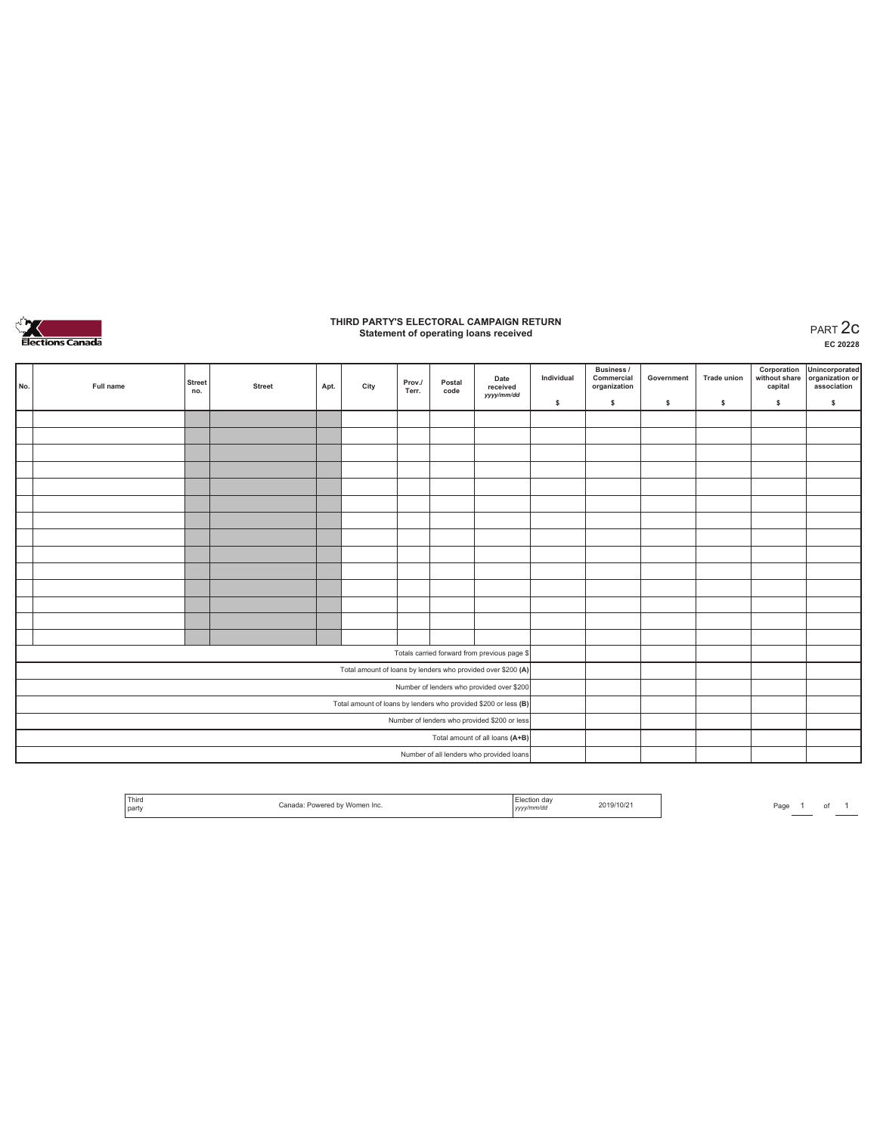

### **THIRD PARTY'S ELECTORAL CAMPAIGN RETURN Statement of operating loans received** PART 2c

**EC 20228**

|  | No. | Full name | <b>Street</b><br>no. | <b>Street</b> | Apt. | City | Prov./<br>Terr. | Postal<br>code | Date<br>received<br>yyyy/mm/dd                                  | Individual | <b>Business /</b><br>Commercial<br>organization | Government | <b>Trade union</b> | Corporation<br>without share<br>capital | Unincorporated<br>organization or<br>association |
|--|-----|-----------|----------------------|---------------|------|------|-----------------|----------------|-----------------------------------------------------------------|------------|-------------------------------------------------|------------|--------------------|-----------------------------------------|--------------------------------------------------|
|  |     |           |                      |               |      |      |                 |                |                                                                 | \$         | \$.                                             | \$         | s                  | \$                                      | $\mathbb S$                                      |
|  |     |           |                      |               |      |      |                 |                |                                                                 |            |                                                 |            |                    |                                         |                                                  |
|  |     |           |                      |               |      |      |                 |                |                                                                 |            |                                                 |            |                    |                                         |                                                  |
|  |     |           |                      |               |      |      |                 |                |                                                                 |            |                                                 |            |                    |                                         |                                                  |
|  |     |           |                      |               |      |      |                 |                |                                                                 |            |                                                 |            |                    |                                         |                                                  |
|  |     |           |                      |               |      |      |                 |                |                                                                 |            |                                                 |            |                    |                                         |                                                  |
|  |     |           |                      |               |      |      |                 |                |                                                                 |            |                                                 |            |                    |                                         |                                                  |
|  |     |           |                      |               |      |      |                 |                |                                                                 |            |                                                 |            |                    |                                         |                                                  |
|  |     |           |                      |               |      |      |                 |                |                                                                 |            |                                                 |            |                    |                                         |                                                  |
|  |     |           |                      |               |      |      |                 |                |                                                                 |            |                                                 |            |                    |                                         |                                                  |
|  |     |           |                      |               |      |      |                 |                |                                                                 |            |                                                 |            |                    |                                         |                                                  |
|  |     |           |                      |               |      |      |                 |                |                                                                 |            |                                                 |            |                    |                                         |                                                  |
|  |     |           |                      |               |      |      |                 |                |                                                                 |            |                                                 |            |                    |                                         |                                                  |
|  |     |           |                      |               |      |      |                 |                |                                                                 |            |                                                 |            |                    |                                         |                                                  |
|  |     |           |                      |               |      |      |                 |                |                                                                 |            |                                                 |            |                    |                                         |                                                  |
|  |     |           |                      |               |      |      |                 |                | Totals carried forward from previous page \$                    |            |                                                 |            |                    |                                         |                                                  |
|  |     |           |                      |               |      |      |                 |                | Total amount of loans by lenders who provided over \$200 (A)    |            |                                                 |            |                    |                                         |                                                  |
|  |     |           |                      |               |      |      |                 |                | Number of lenders who provided over \$200                       |            |                                                 |            |                    |                                         |                                                  |
|  |     |           |                      |               |      |      |                 |                | Total amount of loans by lenders who provided \$200 or less (B) |            |                                                 |            |                    |                                         |                                                  |
|  |     |           |                      |               |      |      |                 |                | Number of lenders who provided \$200 or less                    |            |                                                 |            |                    |                                         |                                                  |
|  |     |           |                      |               |      |      |                 |                | Total amount of all loans (A+B)                                 |            |                                                 |            |                    |                                         |                                                  |
|  |     |           |                      |               |      |      |                 |                | Number of all lenders who provided loans                        |            |                                                 |            |                    |                                         |                                                  |

| clection                                                  |                  |
|-----------------------------------------------------------|------------------|
| <sup>1</sup> Third<br>$'$ onodo'<br>Powered by Women Inc. | ı dar<br>19/10/2 |
| <b>Darty</b><br>:/mm/dc<br>,,,,,                          |                  |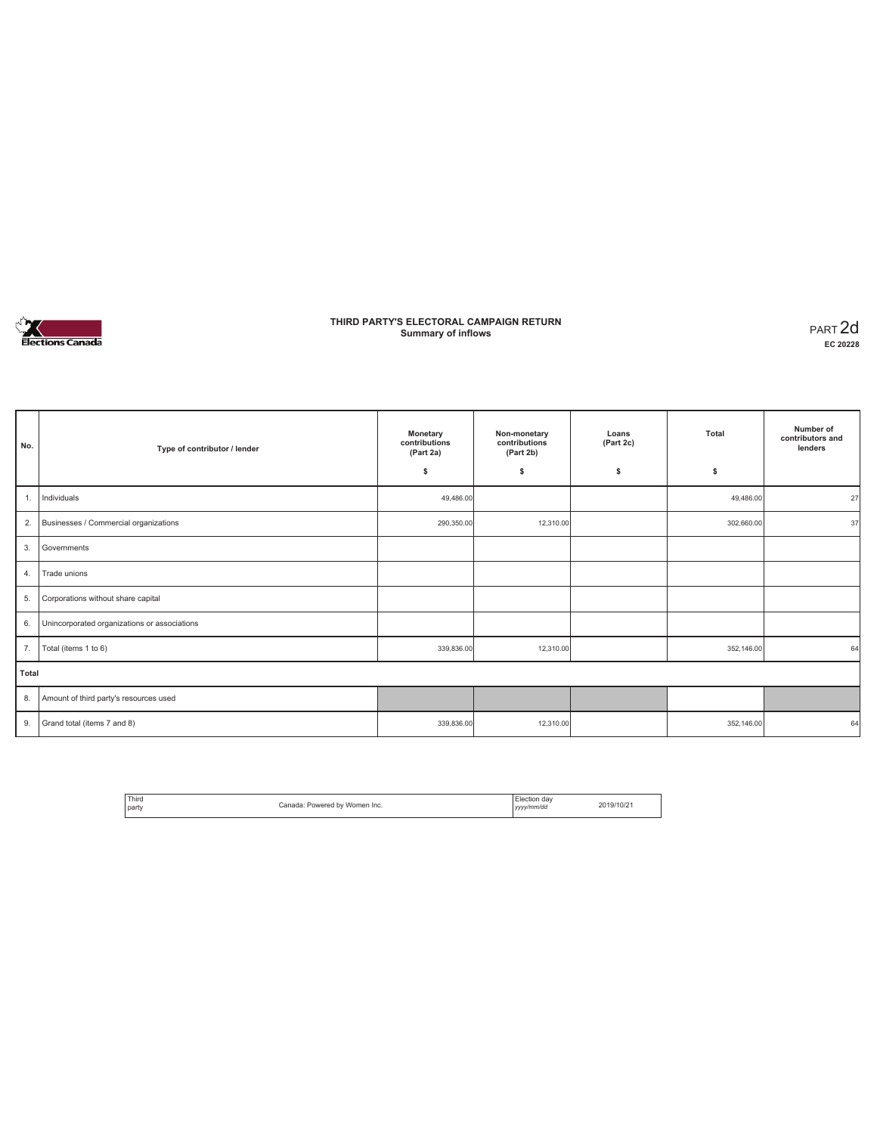

#### **THIRD PARTY'S ELECTORAL CAMPAIGN RETURN Summary of inflows** PART 2d

| No.   | Type of contributor / lender                 | Monetary<br>contributions<br>(Part 2a) | Non-monetary<br>contributions<br>(Part 2b) | Loans<br>(Part 2c) | Total      | Number of<br>contributors and<br>lenders |
|-------|----------------------------------------------|----------------------------------------|--------------------------------------------|--------------------|------------|------------------------------------------|
|       |                                              | \$                                     | \$                                         | \$                 | \$         |                                          |
| 1.    | Individuals                                  | 49,486.00                              |                                            |                    | 49,486.00  | 27                                       |
| 2.    | Businesses / Commercial organizations        | 290,350.00                             | 12,310.00                                  |                    | 302,660.00 | 37                                       |
| 3.    | Governments                                  |                                        |                                            |                    |            |                                          |
| 4.    | Trade unions                                 |                                        |                                            |                    |            |                                          |
| 5.    | Corporations without share capital           |                                        |                                            |                    |            |                                          |
| 6.    | Unincorporated organizations or associations |                                        |                                            |                    |            |                                          |
| 7.    | Total (items 1 to 6)                         | 339,836.00                             | 12,310.00                                  |                    | 352,146.00 | 64                                       |
| Total |                                              |                                        |                                            |                    |            |                                          |
| 8.    | Amount of third party's resources used       |                                        |                                            |                    |            |                                          |
| 9.    | Grand total (items 7 and 8)                  | 339,836.00                             | 12,310.00                                  |                    | 352,146.00 | 64                                       |

| <sup>1</sup> Third<br>∴anada: ′<br>: Powered by Women Inc.<br>party | Flection day<br>yyyy/mm/dd | 2019/10/2 |
|---------------------------------------------------------------------|----------------------------|-----------|
|---------------------------------------------------------------------|----------------------------|-----------|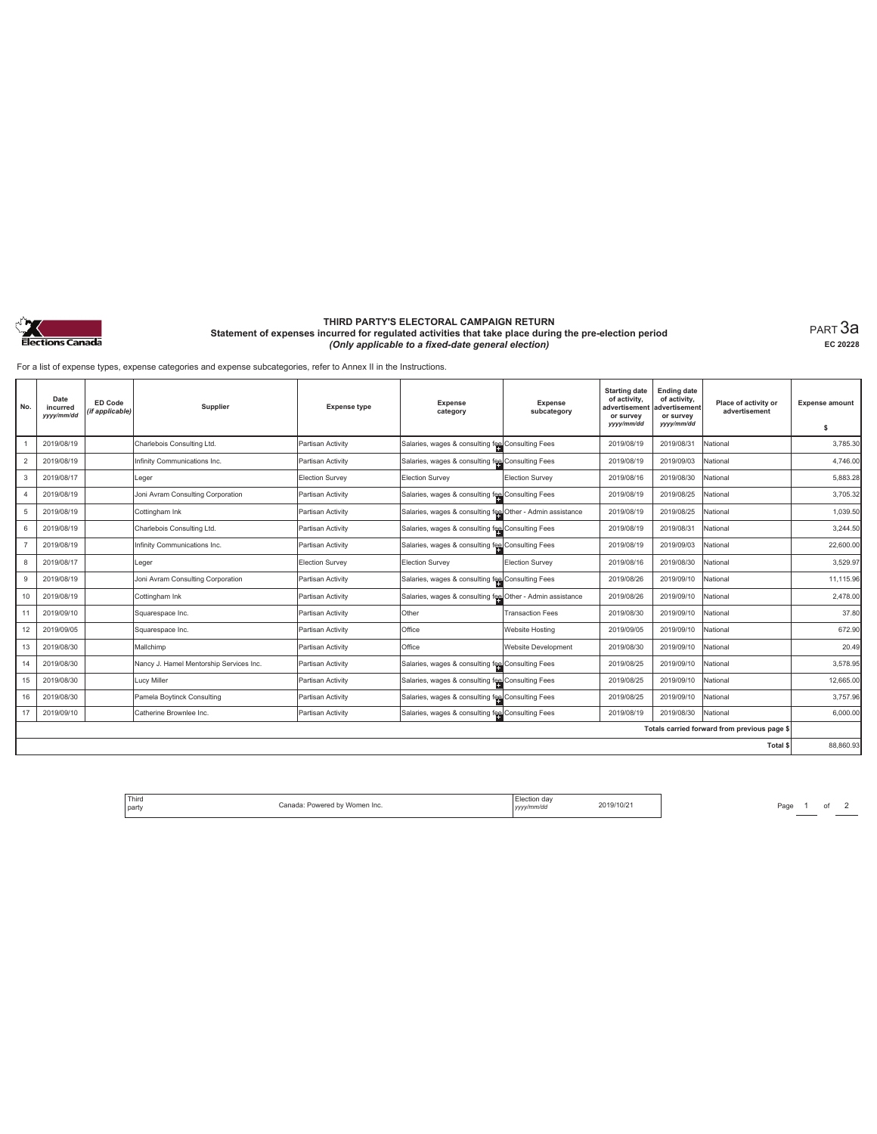

#### **THIRD PARTY'S ELECTORAL CAMPAIGN RETURN Statement of expenses incurred for regulated activities that take place during the pre-election period**  *(Only applicable to a fixed-date general election)*

PART 3a **EC 20228**

For a list of expense types, expense categories and expense subcategories, refer to Annex II in the Instructions.

| No.            | Date<br>incurred<br>yyyy/mm/dd | ED Code<br>(if applicable) | Supplier                                | <b>Expense type</b>    | <b>Expense</b><br>category                                | Expense<br>subcategory  | <b>Starting date</b><br>of activity,<br>advertisement<br>or survey<br>yyyy/mm/dd | <b>Ending date</b><br>of activity,<br>advertisement<br>or survey<br>yyyy/mm/dd | Place of activity or<br>advertisement        | <b>Expense amount</b><br>s |
|----------------|--------------------------------|----------------------------|-----------------------------------------|------------------------|-----------------------------------------------------------|-------------------------|----------------------------------------------------------------------------------|--------------------------------------------------------------------------------|----------------------------------------------|----------------------------|
|                | 2019/08/19                     |                            | Charlebois Consulting Ltd.              | Partisan Activity      | Salaries, wages & consulting fee Consulting Fees          |                         | 2019/08/19                                                                       | 2019/08/31                                                                     | National                                     | 3,785.30                   |
| $\overline{c}$ | 2019/08/19                     |                            | nfinity Communications Inc.             | Partisan Activity      | Salaries, wages & consulting fee Consulting Fees          |                         | 2019/08/19                                                                       | 2019/09/03                                                                     | National                                     | 4,746.00                   |
| 3              | 2019/08/17                     |                            | Leger                                   | <b>Election Survey</b> | Election Survey                                           | Election Survey         | 2019/08/16                                                                       | 2019/08/30                                                                     | National                                     | 5,883.28                   |
| $\overline{4}$ | 2019/08/19                     |                            | Joni Avram Consulting Corporation       | Partisan Activity      | Salaries, wages & consulting fee Consulting Fees          |                         | 2019/08/19                                                                       | 2019/08/25                                                                     | National                                     | 3.705.32                   |
| 5              | 2019/08/19                     |                            | Cottingham Ink                          | Partisan Activity      | Salaries, wages & consulting fee Other - Admin assistance |                         | 2019/08/19                                                                       | 2019/08/25                                                                     | National                                     | 1,039.50                   |
| 6              | 2019/08/19                     |                            | Charlebois Consulting Ltd.              | Partisan Activity      | Salaries, wages & consulting fee Consulting Fees          |                         | 2019/08/19                                                                       | 2019/08/31                                                                     | National                                     | 3.244.50                   |
| $\overline{7}$ | 2019/08/19                     |                            | Infinity Communications Inc.            | Partisan Activity      | Salaries, wages & consulting fee Consulting Fees          |                         | 2019/08/19                                                                       | 2019/09/03                                                                     | National                                     | 22,600.00                  |
| 8              | 2019/08/17                     |                            | Leger                                   | <b>Election Survey</b> | <b>Election Survey</b>                                    | Election Survey         | 2019/08/16                                                                       | 2019/08/30                                                                     | National                                     | 3,529.97                   |
| 9              | 2019/08/19                     |                            | Joni Avram Consulting Corporation       | Partisan Activity      | Salaries, wages & consulting fee Consulting Fees          |                         | 2019/08/26                                                                       | 2019/09/10                                                                     | National                                     | 11.115.96                  |
| 10             | 2019/08/19                     |                            | Cottingham Ink                          | Partisan Activity      | Salaries, wages & consulting fee Other - Admin assistance |                         | 2019/08/26                                                                       | 2019/09/10                                                                     | National                                     | 2,478.00                   |
| 11             | 2019/09/10                     |                            | Squarespace Inc.                        | Partisan Activity      | Other                                                     | <b>Transaction Fees</b> | 2019/08/30                                                                       | 2019/09/10                                                                     | National                                     | 37.80                      |
| 12             | 2019/09/05                     |                            | Squarespace Inc.                        | Partisan Activity      | Office                                                    | Website Hosting         | 2019/09/05                                                                       | 2019/09/10                                                                     | National                                     | 672.90                     |
| 13             | 2019/08/30                     |                            | Mallchimp                               | Partisan Activity      | Office                                                    | Website Development     | 2019/08/30                                                                       | 2019/09/10                                                                     | National                                     | 20.49                      |
| 14             | 2019/08/30                     |                            | Nancy J. Hamel Mentorship Services Inc. | Partisan Activity      | Salaries, wages & consulting fee Consulting Fees          |                         | 2019/08/25                                                                       | 2019/09/10                                                                     | National                                     | 3,578.95                   |
| 15             | 2019/08/30                     |                            | Lucy Miller                             | Partisan Activity      | Salaries, wages & consulting fee Consulting Fees          |                         | 2019/08/25                                                                       | 2019/09/10                                                                     | National                                     | 12,665.00                  |
| 16             | 2019/08/30                     |                            | Pamela Boytinck Consulting              | Partisan Activity      | Salaries, wages & consulting fee Consulting Fees          |                         | 2019/08/25                                                                       | 2019/09/10                                                                     | National                                     | 3.757.96                   |
| 17             | 2019/09/10                     |                            | Catherine Brownlee Inc.                 | Partisan Activity      | Salaries, wages & consulting for Consulting Fees          |                         | 2019/08/19                                                                       | 2019/08/30                                                                     | National                                     | 6,000.00                   |
|                |                                |                            |                                         |                        |                                                           |                         |                                                                                  |                                                                                | Totals carried forward from previous page \$ |                            |
|                |                                |                            |                                         |                        |                                                           |                         |                                                                                  |                                                                                | <b>Total \$</b>                              | 88,860.93                  |

| <b>Third</b> |                               | Election day |            |
|--------------|-------------------------------|--------------|------------|
| party        | Canada: Powered by Women Inc. | yyyy/mm/dd   | 2019/10/21 |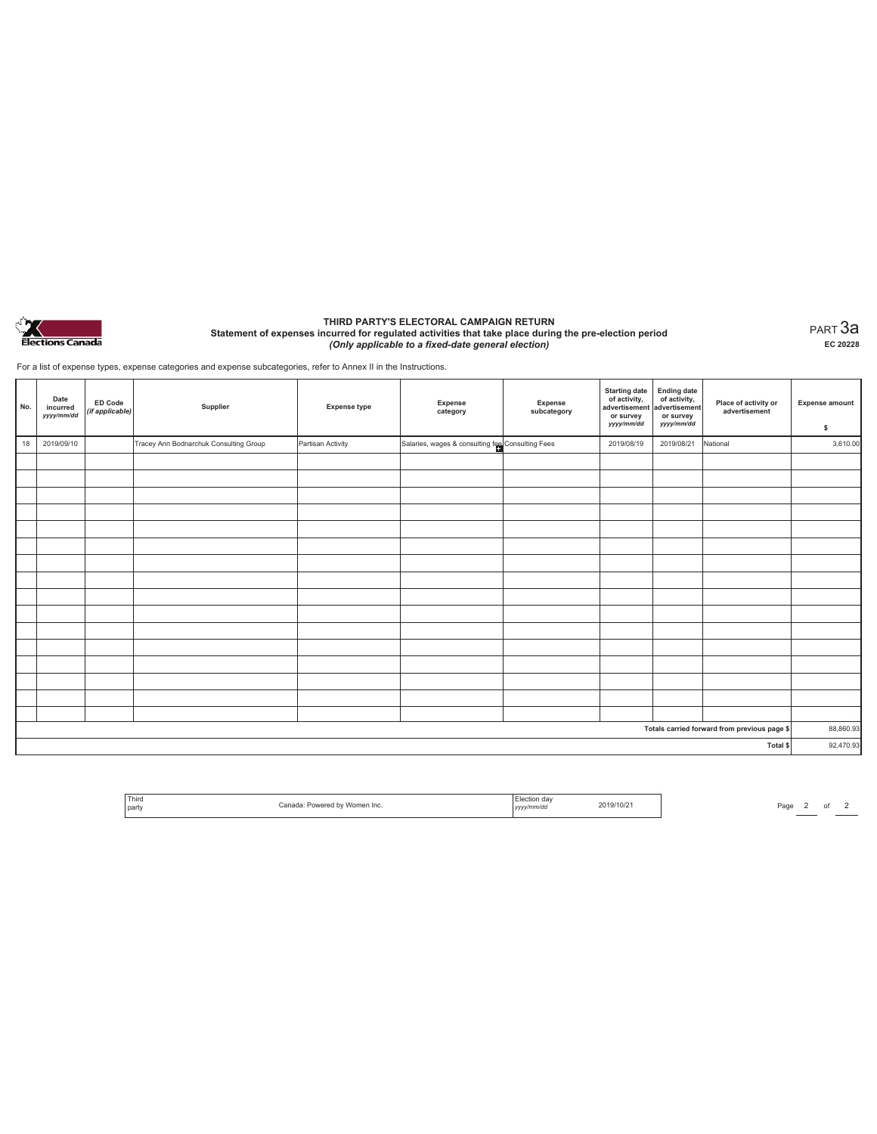

#### **THIRD PARTY'S ELECTORAL CAMPAIGN RETURN Statement of expenses incurred for regulated activities that take place during the pre-election period**  *(Only applicable to a fixed-date general election)*

PART 3a **EC 20228**

For a list of expense types, expense categories and expense subcategories, refer to Annex II in the Instructions.

| No. | Date<br>incurred<br>yyyy/mm/dd | ED Code<br>(if applicable) | Supplier                               | <b>Expense type</b> | <b>Expense</b><br>category                        | Expense<br>subcategory | <b>Starting date</b><br>of activity,<br>advertisement<br>or survey<br>yyyy/mm/dd | Ending date<br>of activity,<br>advertisement<br>or survey<br>yyyy/mm/dd | Place of activity or<br>advertisement        | <b>Expense amount</b><br>\$ |
|-----|--------------------------------|----------------------------|----------------------------------------|---------------------|---------------------------------------------------|------------------------|----------------------------------------------------------------------------------|-------------------------------------------------------------------------|----------------------------------------------|-----------------------------|
| 18  | 2019/09/10                     |                            | Tracey Ann Bodnarchuk Consulting Group | Partisan Activity   | Salaries, wages & consulting feel Consulting Fees |                        | 2019/08/19                                                                       | 2019/08/21                                                              | National                                     | 3,610.00                    |
|     |                                |                            |                                        |                     |                                                   |                        |                                                                                  |                                                                         |                                              |                             |
|     |                                |                            |                                        |                     |                                                   |                        |                                                                                  |                                                                         |                                              |                             |
|     |                                |                            |                                        |                     |                                                   |                        |                                                                                  |                                                                         |                                              |                             |
|     |                                |                            |                                        |                     |                                                   |                        |                                                                                  |                                                                         |                                              |                             |
|     |                                |                            |                                        |                     |                                                   |                        |                                                                                  |                                                                         |                                              |                             |
|     |                                |                            |                                        |                     |                                                   |                        |                                                                                  |                                                                         |                                              |                             |
|     |                                |                            |                                        |                     |                                                   |                        |                                                                                  |                                                                         |                                              |                             |
|     |                                |                            |                                        |                     |                                                   |                        |                                                                                  |                                                                         |                                              |                             |
|     |                                |                            |                                        |                     |                                                   |                        |                                                                                  |                                                                         |                                              |                             |
|     |                                |                            |                                        |                     |                                                   |                        |                                                                                  |                                                                         |                                              |                             |
|     |                                |                            |                                        |                     |                                                   |                        |                                                                                  |                                                                         |                                              |                             |
|     |                                |                            |                                        |                     |                                                   |                        |                                                                                  |                                                                         |                                              |                             |
|     |                                |                            |                                        |                     |                                                   |                        |                                                                                  |                                                                         |                                              |                             |
|     |                                |                            |                                        |                     |                                                   |                        |                                                                                  |                                                                         |                                              |                             |
|     |                                |                            |                                        |                     |                                                   |                        |                                                                                  |                                                                         |                                              |                             |
|     |                                |                            |                                        |                     |                                                   |                        |                                                                                  |                                                                         |                                              |                             |
|     |                                |                            |                                        |                     |                                                   |                        |                                                                                  |                                                                         | Totals carried forward from previous page \$ | 88,860.93                   |
|     |                                |                            |                                        |                     |                                                   |                        |                                                                                  |                                                                         | Total \$                                     | 92,470.93                   |

| 2019/10/2<br>Conner:<br>women Inc.<br>l partv<br>vv/mm/dd | Third |  | da |  |
|-----------------------------------------------------------|-------|--|----|--|
|-----------------------------------------------------------|-------|--|----|--|

 $Page 2 of 2$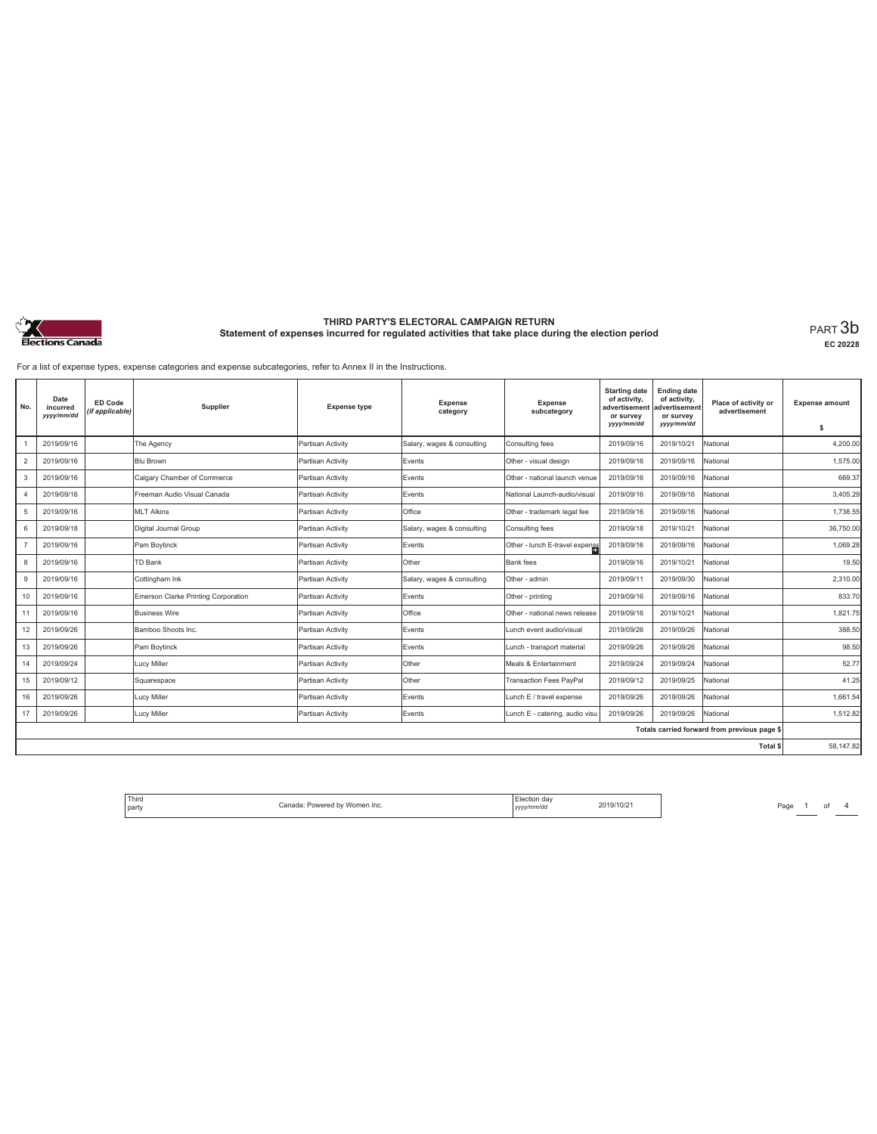

**EC 20228**

For a list of expense types, expense categories and expense subcategories, refer to Annex II in the Instructions.

| No.            | Date<br>incurred<br>yyyy/mm/dd | ED Code<br>(if applicable) | Supplier                            | <b>Expense type</b> | <b>Expense</b><br>category | <b>Expense</b><br>subcategory  | <b>Starting date</b><br>of activity,<br>advertisement<br>or survey<br>yyyy/mm/dd | <b>Ending date</b><br>of activity,<br>advertisement<br>or survey<br>yyyy/mm/dd | Place of activity or<br>advertisement        | <b>Expense amount</b><br>\$ |
|----------------|--------------------------------|----------------------------|-------------------------------------|---------------------|----------------------------|--------------------------------|----------------------------------------------------------------------------------|--------------------------------------------------------------------------------|----------------------------------------------|-----------------------------|
|                | 2019/09/16                     |                            | The Agency                          | Partisan Activity   | Salary, wages & consulting | Consulting fees                | 2019/09/16                                                                       | 2019/10/21                                                                     | National                                     | 4,200.00                    |
| $\overline{2}$ | 2019/09/16                     |                            | <b>Blu Brown</b>                    | Partisan Activity   | Events                     | Other - visual design          | 2019/09/16                                                                       | 2019/09/16                                                                     | National                                     | 1,575.00                    |
| 3              | 2019/09/16                     |                            | Calgary Chamber of Commerce         | Partisan Activity   | Events                     | Other - national launch venue  | 2019/09/16                                                                       | 2019/09/16                                                                     | National                                     | 669.37                      |
| $\overline{4}$ | 2019/09/16                     |                            | Freeman Audio Visual Canada         | Partisan Activity   | Events                     | National Launch-audio/visual   | 2019/09/16                                                                       | 2019/09/16                                                                     | National                                     | 3,405.29                    |
| 5              | 2019/09/16                     |                            | <b>MLT Alkins</b>                   | Partisan Activity   | Office                     | Other - trademark legal fee    | 2019/09/16                                                                       | 2019/09/16                                                                     | National                                     | 1,738.55                    |
| 6              | 2019/09/18                     |                            | Digital Journal Group               | Partisan Activity   | Salary, wages & consulting | Consulting fees                | 2019/09/18                                                                       | 2019/10/21                                                                     | National                                     | 36,750.00                   |
| $\overline{7}$ | 2019/09/16                     |                            | Pam Boytinck                        | Partisan Activity   | Events                     | Other - lunch E-travel expense | 2019/09/16                                                                       | 2019/09/16                                                                     | National                                     | 1.069.28                    |
| 8              | 2019/09/16                     |                            | TD Bank                             | Partisan Activity   | Other                      | Bank fees                      | 2019/09/16                                                                       | 2019/10/21                                                                     | National                                     | 19.50                       |
| 9              | 2019/09/16                     |                            | Cottingham Ink                      | Partisan Activity   | Salary, wages & consulting | Other - admin                  | 2019/09/11                                                                       | 2019/09/30                                                                     | National                                     | 2,310.00                    |
| 10             | 2019/09/16                     |                            | Emerson Clarke Printing Corporation | Partisan Activity   | Events                     | Other - printing               | 2019/09/16                                                                       | 2019/09/16                                                                     | National                                     | 833.70                      |
|                |                                |                            |                                     |                     |                            |                                |                                                                                  |                                                                                |                                              |                             |
| 11             | 2019/09/16                     |                            | <b>Business Wire</b>                | Partisan Activity   | Office                     | Other - national news release  | 2019/09/16                                                                       | 2019/10/21                                                                     | National                                     | 1.821.75                    |
| 12             | 2019/09/26                     |                            | Bamboo Shoots Inc.                  | Partisan Activity   | Events                     | Lunch event audio/visual       | 2019/09/26                                                                       | 2019/09/26                                                                     | National                                     | 388.50                      |
| 13             | 2019/09/26                     |                            | Pam Bovtinck                        | Partisan Activity   | Events                     | Lunch - transport material     | 2019/09/26                                                                       | 2019/09/26                                                                     | National                                     | 98.50                       |
| 14             | 2019/09/24                     |                            | Lucy Miller                         | Partisan Activity   | Other                      | Meals & Entertainment          | 2019/09/24                                                                       | 2019/09/24                                                                     | National                                     | 52.77                       |
| 15             | 2019/09/12                     |                            | Squarespace                         | Partisan Activity   | Other                      | <b>Transaction Fees PayPal</b> | 2019/09/12                                                                       | 2019/09/25                                                                     | National                                     | 41.25                       |
| 16             | 2019/09/26                     |                            | Lucy Miller                         | Partisan Activity   | Events                     | Lunch E / travel expense       | 2019/09/26                                                                       | 2019/09/26                                                                     | National                                     | 1,661.54                    |
| 17             | 2019/09/26                     |                            | Lucy Miller                         | Partisan Activity   | Events                     | Lunch E - catering, audio visu | 2019/09/26                                                                       | 2019/09/26                                                                     | National                                     | 1,512.82                    |
|                |                                |                            |                                     |                     |                            |                                |                                                                                  |                                                                                | Totals carried forward from previous page \$ |                             |
|                |                                |                            |                                     |                     |                            |                                |                                                                                  |                                                                                | Total \$                                     | 58.147.82                   |

| <sup>1</sup> Third<br>party | Canada: Powered by Women Inc. | Election day<br>yyyy/mm/dd | 2019/10/21 |
|-----------------------------|-------------------------------|----------------------------|------------|
|                             |                               |                            |            |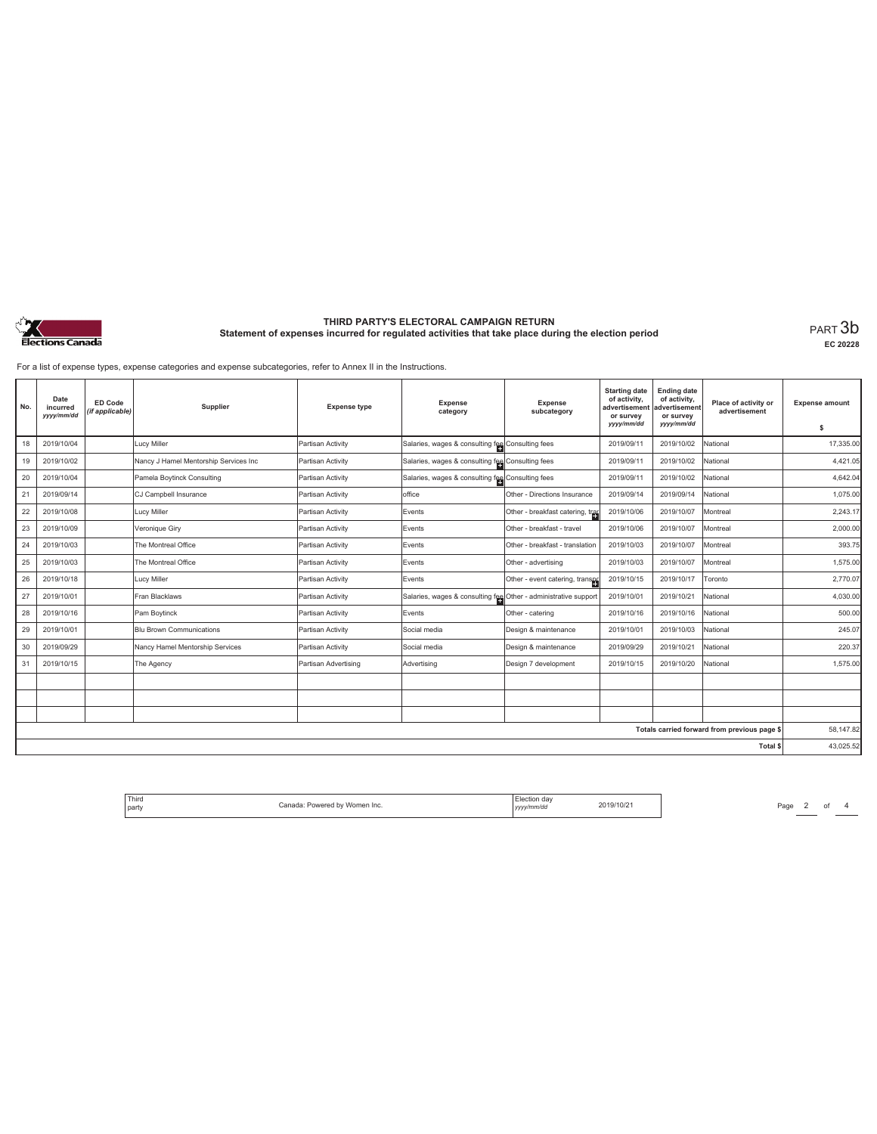

**EC 20228**

For a list of expense types, expense categories and expense subcategories, refer to Annex II in the Instructions.

| No. | Date<br>incurred<br>yyyy/mm/dd | <b>ED Code</b><br>(if applicable) | Supplier                              | <b>Expense type</b>  | Expense<br>category                                             | Expense<br>subcategory           | <b>Starting date</b><br>of activity,<br>advertisement<br>or survey<br>yyyy/mm/dd | <b>Ending date</b><br>of activity,<br>advertisement<br>or survey<br>yyyy/mm/dd | Place of activity or<br>advertisement        | <b>Expense amount</b><br>\$ |
|-----|--------------------------------|-----------------------------------|---------------------------------------|----------------------|-----------------------------------------------------------------|----------------------------------|----------------------------------------------------------------------------------|--------------------------------------------------------------------------------|----------------------------------------------|-----------------------------|
| 18  | 2019/10/04                     |                                   | Lucy Miller                           | Partisan Activity    | Salaries, wages & consulting fee Consulting fees                |                                  | 2019/09/11                                                                       | 2019/10/02                                                                     | National                                     | 17,335.00                   |
| 19  | 2019/10/02                     |                                   | Nancy J Hamel Mentorship Services Inc | Partisan Activity    | Salaries, wages & consulting fee Consulting fees                |                                  | 2019/09/11                                                                       | 2019/10/02                                                                     | National                                     | 4,421.05                    |
| 20  | 2019/10/04                     |                                   | Pamela Boytinck Consulting            | Partisan Activity    | Salaries, wages & consulting fee Consulting fees                |                                  | 2019/09/11                                                                       | 2019/10/02                                                                     | National                                     | 4,642.04                    |
| 21  | 2019/09/14                     |                                   | CJ Campbell Insurance                 | Partisan Activity    | office                                                          | Other - Directions Insurance     | 2019/09/14                                                                       | 2019/09/14                                                                     | National                                     | 1,075.00                    |
| 22  | 2019/10/08                     |                                   | Lucy Miller                           | Partisan Activity    | Events                                                          | Other - breakfast catering, tran | 2019/10/06                                                                       | 2019/10/07                                                                     | Montreal                                     | 2,243.17                    |
| 23  | 2019/10/09                     |                                   | Veronique Giry                        | Partisan Activity    | Events                                                          | Other - breakfast - travel       | 2019/10/06                                                                       | 2019/10/07                                                                     | Montreal                                     | 2,000.00                    |
| 24  | 2019/10/03                     |                                   | The Montreal Office                   | Partisan Activity    | Events                                                          | Other - breakfast - translation  | 2019/10/03                                                                       | 2019/10/07                                                                     | Montreal                                     | 393.75                      |
| 25  | 2019/10/03                     |                                   | The Montreal Office                   | Partisan Activity    | Events                                                          | Other - advertising              | 2019/10/03                                                                       | 2019/10/07                                                                     | Montreal                                     | 1,575.00                    |
| 26  | 2019/10/18                     |                                   | Lucy Miller                           | Partisan Activity    | Events                                                          | Other - event catering, transpr  | 2019/10/15                                                                       | 2019/10/17                                                                     | Toronto                                      | 2,770.07                    |
| 27  | 2019/10/01                     |                                   | Fran Blacklaws                        | Partisan Activity    | Salaries, wages & consulting fee Other - administrative support |                                  | 2019/10/01                                                                       | 2019/10/21                                                                     | National                                     | 4,030.00                    |
| 28  | 2019/10/16                     |                                   | Pam Boytinck                          | Partisan Activity    | Events                                                          | Other - catering                 | 2019/10/16                                                                       | 2019/10/16                                                                     | National                                     | 500.00                      |
| 29  | 2019/10/01                     |                                   | <b>Blu Brown Communications</b>       | Partisan Activity    | Social media                                                    | Design & maintenance             | 2019/10/01                                                                       | 2019/10/03                                                                     | National                                     | 245.07                      |
| 30  | 2019/09/29                     |                                   | Nancy Hamel Mentorship Services       | Partisan Activity    | Social media                                                    | Design & maintenance             | 2019/09/29                                                                       | 2019/10/21                                                                     | National                                     | 220.37                      |
| 31  | 2019/10/15                     |                                   | The Agency                            | Partisan Advertising | Advertising                                                     | Design 7 development             | 2019/10/15                                                                       | 2019/10/20                                                                     | National                                     | 1,575.00                    |
|     |                                |                                   |                                       |                      |                                                                 |                                  |                                                                                  |                                                                                |                                              |                             |
|     |                                |                                   |                                       |                      |                                                                 |                                  |                                                                                  |                                                                                |                                              |                             |
|     |                                |                                   |                                       |                      |                                                                 |                                  |                                                                                  |                                                                                |                                              |                             |
|     |                                |                                   |                                       |                      |                                                                 |                                  |                                                                                  |                                                                                | Totals carried forward from previous page \$ | 58,147.82                   |
|     |                                |                                   |                                       |                      |                                                                 |                                  |                                                                                  |                                                                                | Total \$                                     | 43,025.52                   |

| <sup>1</sup> Third<br>I party | Canada: Powered by Women Inc. | lection day<br>/v/mm/dc | 2019/10/21 |
|-------------------------------|-------------------------------|-------------------------|------------|
|-------------------------------|-------------------------------|-------------------------|------------|

Page  $2$  of  $4$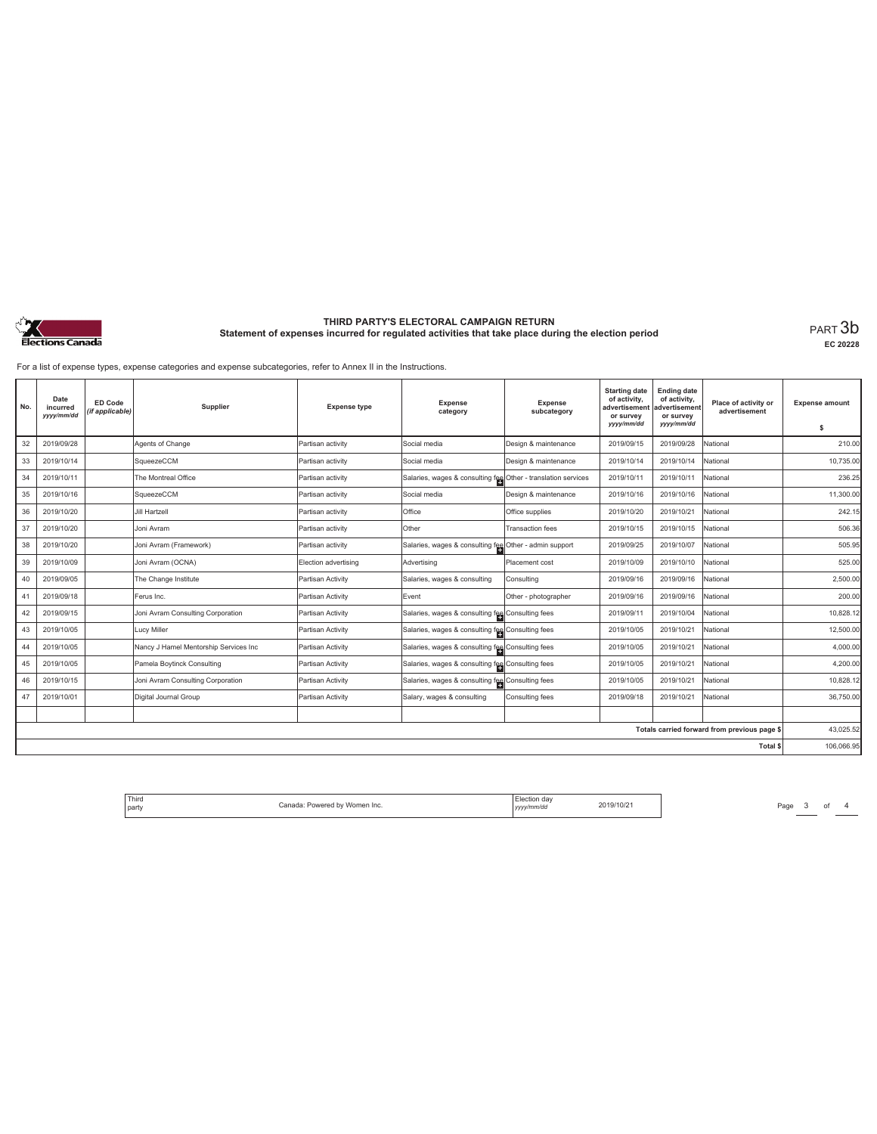

**EC 20228**

For a list of expense types, expense categories and expense subcategories, refer to Annex II in the Instructions.

| No. | Date<br>incurred<br>yyyy/mm/dd | <b>ED Code</b><br>(if applicable) | Supplier                              | <b>Expense type</b>  | <b>Expense</b><br>category                                    | <b>Expense</b><br>subcategory | <b>Starting date</b><br>of activity,<br>advertisement<br>or survey<br>yyyy/mm/dd | <b>Ending date</b><br>of activity,<br>advertisement<br>or survey<br>yyyy/mm/dd | Place of activity or<br>advertisement        | <b>Expense amount</b><br>s |
|-----|--------------------------------|-----------------------------------|---------------------------------------|----------------------|---------------------------------------------------------------|-------------------------------|----------------------------------------------------------------------------------|--------------------------------------------------------------------------------|----------------------------------------------|----------------------------|
| 32  | 2019/09/28                     |                                   | Agents of Change                      | Partisan activity    | Social media                                                  | Design & maintenance          | 2019/09/15                                                                       | 2019/09/28                                                                     | National                                     | 210.00                     |
| 33  | 2019/10/14                     |                                   | SqueezeCCM                            | Partisan activity    | Social media                                                  | Design & maintenance          | 2019/10/14                                                                       | 2019/10/14                                                                     | National                                     | 10,735.00                  |
| 34  | 2019/10/11                     |                                   | The Montreal Office                   | Partisan activity    | Salaries, wages & consulting fee Other - translation services |                               | 2019/10/11                                                                       | 2019/10/11                                                                     | National                                     | 236.25                     |
| 35  | 2019/10/16                     |                                   | SqueezeCCM                            | Partisan activity    | Social media                                                  | Design & maintenance          | 2019/10/16                                                                       | 2019/10/16                                                                     | National                                     | 11,300.00                  |
| 36  | 2019/10/20                     |                                   | Jill Hartzell                         | Partisan activity    | Office                                                        | Office supplies               | 2019/10/20                                                                       | 2019/10/21                                                                     | National                                     | 242.15                     |
| 37  | 2019/10/20                     |                                   | Joni Avram                            | Partisan activity    | Other                                                         | Transaction fees              | 2019/10/15                                                                       | 2019/10/15                                                                     | National                                     | 506.36                     |
| 38  | 2019/10/20                     |                                   | Joni Avram (Framework)                | Partisan activity    | Salaries, wages & consulting fee Other - admin support        |                               | 2019/09/25                                                                       | 2019/10/07                                                                     | National                                     | 505.95                     |
| 39  | 2019/10/09                     |                                   | Joni Avram (OCNA)                     | Election advertising | Advertising                                                   | Placement cost                | 2019/10/09                                                                       | 2019/10/10                                                                     | National                                     | 525.00                     |
| 40  | 2019/09/05                     |                                   | The Change Institute                  | Partisan Activity    | Salaries, wages & consulting                                  | Consulting                    | 2019/09/16                                                                       | 2019/09/16                                                                     | National                                     | 2,500.00                   |
| 41  | 2019/09/18                     |                                   | Ferus Inc.                            | Partisan Activity    | Event                                                         | Other - photographer          | 2019/09/16                                                                       | 2019/09/16                                                                     | National                                     | 200.00                     |
| 42  | 2019/09/15                     |                                   | Joni Avram Consulting Corporation     | Partisan Activity    | Salaries, wages & consulting fee Consulting fees              |                               | 2019/09/11                                                                       | 2019/10/04                                                                     | National                                     | 10,828.12                  |
| 43  | 2019/10/05                     |                                   | Lucy Miller                           | Partisan Activity    | Salaries, wages & consulting fee Consulting fees              |                               | 2019/10/05                                                                       | 2019/10/21                                                                     | National                                     | 12,500.00                  |
| 44  | 2019/10/05                     |                                   | Nancy J Hamel Mentorship Services Inc | Partisan Activity    | Salaries, wages & consulting fee Consulting fees              |                               | 2019/10/05                                                                       | 2019/10/21                                                                     | National                                     | 4,000.00                   |
| 45  | 2019/10/05                     |                                   | Pamela Boytinck Consulting            | Partisan Activity    | Salaries, wages & consulting fee Consulting fees              |                               | 2019/10/05                                                                       | 2019/10/21                                                                     | National                                     | 4,200.00                   |
| 46  | 2019/10/15                     |                                   | Joni Avram Consulting Corporation     | Partisan Activity    | Salaries, wages & consulting fee Consulting fees              |                               | 2019/10/05                                                                       | 2019/10/21                                                                     | National                                     | 10,828.12                  |
| 47  | 2019/10/01                     |                                   | Digital Journal Group                 | Partisan Activity    | Salary, wages & consulting                                    | Consulting fees               | 2019/09/18                                                                       | 2019/10/21                                                                     | National                                     | 36,750.00                  |
|     |                                |                                   |                                       |                      |                                                               |                               |                                                                                  |                                                                                |                                              |                            |
|     |                                |                                   |                                       |                      |                                                               |                               |                                                                                  |                                                                                | Totals carried forward from previous page \$ | 43,025.52                  |
|     |                                |                                   |                                       |                      |                                                               |                               |                                                                                  |                                                                                | Total \$                                     | 106.066.95                 |

| Third   | Canada: Powered by Women Inc. | Election dav | 2019/10/21 |
|---------|-------------------------------|--------------|------------|
| l party |                               | yyyy/mm/dd   |            |

Page  $3$  of  $4$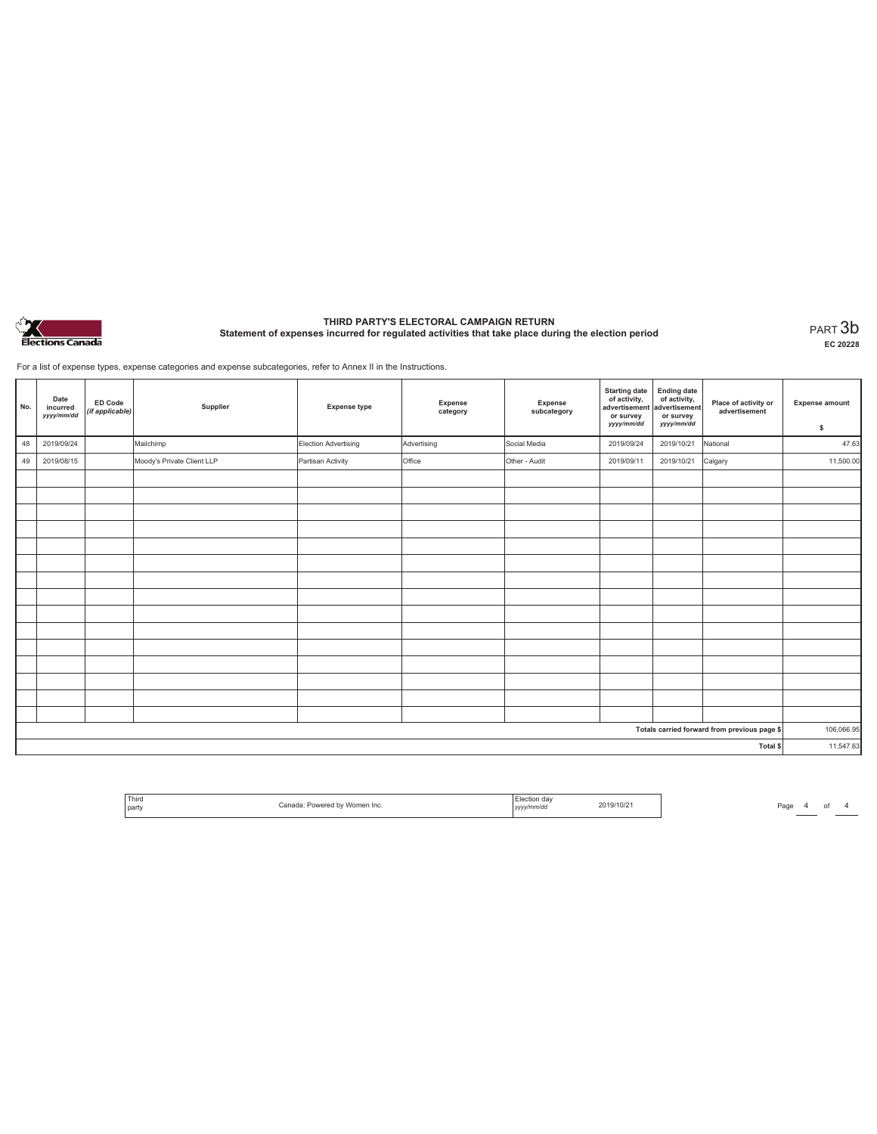

**EC 20228**

For a list of expense types, expense categories and expense subcategories, refer to Annex II in the Instructions.

| No. | Date<br>incurred<br>yyyy/mm/dd | <b>ED Code</b><br>(if applicable) | Supplier                   | <b>Expense type</b>  | Expense<br>category | Expense<br>subcategory | <b>Starting date</b><br>of activity,<br>advertisement<br>or survey<br>yyyy/mm/dd | <b>Ending date</b><br>of activity,<br>advertisement<br>or survey<br>yyyy/mm/dd | Place of activity or<br>advertisement        | <b>Expense amount</b><br>\$ |
|-----|--------------------------------|-----------------------------------|----------------------------|----------------------|---------------------|------------------------|----------------------------------------------------------------------------------|--------------------------------------------------------------------------------|----------------------------------------------|-----------------------------|
| 48  | 2019/09/24                     |                                   | Mailchimp                  | Election Advertising | Advertising         | Social Media           | 2019/09/24                                                                       | 2019/10/21                                                                     | National                                     | 47.63                       |
| 49  | 2019/08/15                     |                                   | Moody's Private Client LLP | Partisan Activity    | Office              | Other - Audit          | 2019/09/11                                                                       | 2019/10/21                                                                     | Calgary                                      | 11,500.00                   |
|     |                                |                                   |                            |                      |                     |                        |                                                                                  |                                                                                |                                              |                             |
|     |                                |                                   |                            |                      |                     |                        |                                                                                  |                                                                                |                                              |                             |
|     |                                |                                   |                            |                      |                     |                        |                                                                                  |                                                                                |                                              |                             |
|     |                                |                                   |                            |                      |                     |                        |                                                                                  |                                                                                |                                              |                             |
|     |                                |                                   |                            |                      |                     |                        |                                                                                  |                                                                                |                                              |                             |
|     |                                |                                   |                            |                      |                     |                        |                                                                                  |                                                                                |                                              |                             |
|     |                                |                                   |                            |                      |                     |                        |                                                                                  |                                                                                |                                              |                             |
|     |                                |                                   |                            |                      |                     |                        |                                                                                  |                                                                                |                                              |                             |
|     |                                |                                   |                            |                      |                     |                        |                                                                                  |                                                                                |                                              |                             |
|     |                                |                                   |                            |                      |                     |                        |                                                                                  |                                                                                |                                              |                             |
|     |                                |                                   |                            |                      |                     |                        |                                                                                  |                                                                                |                                              |                             |
|     |                                |                                   |                            |                      |                     |                        |                                                                                  |                                                                                |                                              |                             |
|     |                                |                                   |                            |                      |                     |                        |                                                                                  |                                                                                |                                              |                             |
|     |                                |                                   |                            |                      |                     |                        |                                                                                  |                                                                                |                                              |                             |
|     |                                |                                   |                            |                      |                     |                        |                                                                                  |                                                                                |                                              |                             |
|     |                                |                                   |                            |                      |                     |                        |                                                                                  |                                                                                | Totals carried forward from previous page \$ | 106,066.95                  |
|     |                                |                                   |                            |                      |                     |                        |                                                                                  |                                                                                | Total \$                                     | 11,547.63                   |

| Third | Powered<br>Women Inc.<br><b>Connect</b> | da<br>≡iecuor     | 2019/10/2 |
|-------|-----------------------------------------|-------------------|-----------|
| party |                                         | vyy/mm/dd<br>,,,, |           |

Page  $4$  of  $4$